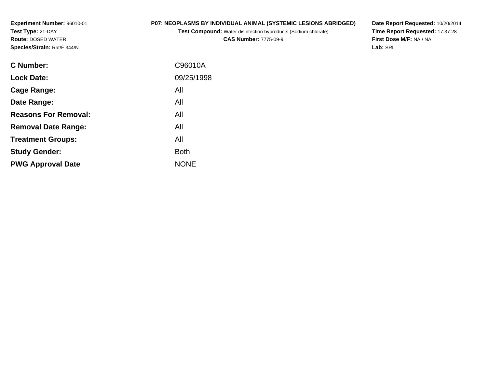**Experiment Number:** 96010-01**Test Type:** 21-DAY **Route:** DOSED WATER**Species/Strain:** Rat/F 344/N

### **P07: NEOPLASMS BY INDIVIDUAL ANIMAL (SYSTEMIC LESIONS ABRIDGED)**

**Test Compound:** Water disinfection byproducts (Sodium chlorate)

**CAS Number:** 7775-09-9

**Date Report Requested:** 10/20/2014 **Time Report Requested:** 17:37:28**First Dose M/F:** NA / NA**Lab:** SRI

| C Number:                   | C96010A     |
|-----------------------------|-------------|
| <b>Lock Date:</b>           | 09/25/1998  |
| Cage Range:                 | All         |
| Date Range:                 | All         |
| <b>Reasons For Removal:</b> | All         |
| <b>Removal Date Range:</b>  | All         |
| <b>Treatment Groups:</b>    | All         |
| <b>Study Gender:</b>        | <b>Both</b> |
| <b>PWG Approval Date</b>    | <b>NONE</b> |
|                             |             |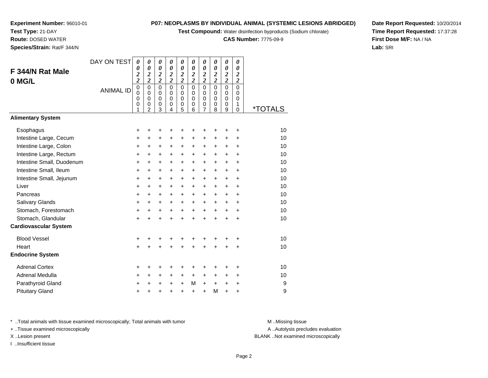**Test Compound:** Water disinfection byproducts (Sodium chlorate)

**CAS Number:** 7775-09-9

**Date Report Requested:** 10/20/2014**Time Report Requested:** 17:37:28**First Dose M/F:** NA / NA**Lab:** SRI

**Experiment Number:** 96010-01**Test Type:** 21-DAY **Route:** DOSED WATER**Species/Strain:** Rat/F 344/N

| F 344/N Rat Male<br>0 MG/L   | DAY ON TEST<br><b>ANIMAL ID</b> | 0<br>0<br>$\boldsymbol{z}$<br>$\overline{\mathbf{c}}$<br>$\pmb{0}$<br>$\mathbf 0$<br>0<br>0<br>1 | 0<br>$\boldsymbol{\theta}$<br>$\boldsymbol{2}$<br>$\overline{\mathbf{c}}$<br>$\mathbf 0$<br>$\Omega$<br>$\mathbf 0$<br>0<br>$\overline{2}$ | 0<br>0<br>$\boldsymbol{z}$<br>$\overline{\mathbf{c}}$<br>$\overline{0}$<br>$\mathbf 0$<br>$\mathbf 0$<br>0<br>3 | $\pmb{\theta}$<br>0<br>$\boldsymbol{2}$<br>$\overline{c}$<br>$\overline{0}$<br>$\Omega$<br>$\mathbf 0$<br>0<br>$\overline{4}$ | 0<br>0<br>$\boldsymbol{2}$<br>$\overline{\mathbf{c}}$<br>0<br>$\mathbf 0$<br>$\mathbf 0$<br>0<br>5 | 0<br>0<br>$\boldsymbol{2}$<br>$\overline{\mathbf{c}}$<br>$\overline{0}$<br>$\Omega$<br>$\mathbf 0$<br>0<br>6 | 0<br>0<br>$\boldsymbol{2}$<br>$\overline{\mathbf{c}}$<br>0<br>$\Omega$<br>$\mathbf 0$<br>0<br>7 | 0<br>0<br>$\boldsymbol{2}$<br>$\overline{2}$<br>$\overline{0}$<br>$\mathbf 0$<br>$\mathbf 0$<br>0<br>8 | 0<br>0<br>$\frac{2}{2}$<br>$\overline{0}$<br>$\mathbf 0$<br>$\mathbf 0$<br>0<br>9 | 0<br>0<br>$\boldsymbol{2}$<br>$\overline{c}$<br>$\mathbf 0$<br>$\Omega$<br>$\mathbf 0$<br>1<br>0 | <i><b>*TOTALS</b></i> |
|------------------------------|---------------------------------|--------------------------------------------------------------------------------------------------|--------------------------------------------------------------------------------------------------------------------------------------------|-----------------------------------------------------------------------------------------------------------------|-------------------------------------------------------------------------------------------------------------------------------|----------------------------------------------------------------------------------------------------|--------------------------------------------------------------------------------------------------------------|-------------------------------------------------------------------------------------------------|--------------------------------------------------------------------------------------------------------|-----------------------------------------------------------------------------------|--------------------------------------------------------------------------------------------------|-----------------------|
| <b>Alimentary System</b>     |                                 |                                                                                                  |                                                                                                                                            |                                                                                                                 |                                                                                                                               |                                                                                                    |                                                                                                              |                                                                                                 |                                                                                                        |                                                                                   |                                                                                                  |                       |
| Esophagus                    |                                 | +                                                                                                | +                                                                                                                                          | +                                                                                                               | +                                                                                                                             | +                                                                                                  |                                                                                                              | +                                                                                               | +                                                                                                      | +                                                                                 | +                                                                                                | 10                    |
| Intestine Large, Cecum       |                                 | +                                                                                                | +                                                                                                                                          | $\pm$                                                                                                           | +                                                                                                                             | +                                                                                                  | $\ddot{}$                                                                                                    | $\ddot{}$                                                                                       | $\ddot{}$                                                                                              | +                                                                                 | +                                                                                                | 10                    |
| Intestine Large, Colon       |                                 | $\ddot{}$                                                                                        | +                                                                                                                                          | +                                                                                                               | +                                                                                                                             | $\ddot{}$                                                                                          | $\ddot{}$                                                                                                    | +                                                                                               | +                                                                                                      | +                                                                                 | +                                                                                                | 10                    |
| Intestine Large, Rectum      |                                 | +                                                                                                | +                                                                                                                                          | +                                                                                                               | +                                                                                                                             | +                                                                                                  | $\ddot{}$                                                                                                    | +                                                                                               | $\ddot{}$                                                                                              | $\ddot{}$                                                                         | $\ddot{}$                                                                                        | 10                    |
| Intestine Small, Duodenum    |                                 | $\ddot{}$                                                                                        | +                                                                                                                                          | $\pm$                                                                                                           | $\ddot{}$                                                                                                                     | $\pm$                                                                                              | $\ddot{}$                                                                                                    | $\ddot{}$                                                                                       | +                                                                                                      | $\ddot{}$                                                                         | +                                                                                                | 10                    |
| Intestine Small, Ileum       |                                 | $\ddot{}$                                                                                        | $\ddot{}$                                                                                                                                  | +                                                                                                               | +                                                                                                                             | +                                                                                                  | $\ddot{}$                                                                                                    | $\ddot{}$                                                                                       | $\ddot{}$                                                                                              | $\ddot{}$                                                                         | $\ddot{}$                                                                                        | 10                    |
| Intestine Small, Jejunum     |                                 | $\ddot{}$                                                                                        | +                                                                                                                                          | +                                                                                                               | +                                                                                                                             | +                                                                                                  | $\ddot{}$                                                                                                    | +                                                                                               | +                                                                                                      | +                                                                                 | +                                                                                                | 10                    |
| Liver                        |                                 | +                                                                                                | +                                                                                                                                          | $\pm$                                                                                                           | $\ddot{}$                                                                                                                     | +                                                                                                  | $\ddot{}$                                                                                                    | +                                                                                               | +                                                                                                      | $\ddot{}$                                                                         | +                                                                                                | 10                    |
| Pancreas                     |                                 | $\ddot{}$                                                                                        | $\pm$                                                                                                                                      | $\pm$                                                                                                           | $\ddot{}$                                                                                                                     | +                                                                                                  | $\ddot{}$                                                                                                    | $\ddot{}$                                                                                       | $\ddot{}$                                                                                              | $\ddot{}$                                                                         | +                                                                                                | 10                    |
| Salivary Glands              |                                 | +                                                                                                | +                                                                                                                                          | +                                                                                                               | +                                                                                                                             | +                                                                                                  | $\ddot{}$                                                                                                    | +                                                                                               | +                                                                                                      | +                                                                                 | +                                                                                                | 10                    |
| Stomach, Forestomach         |                                 | +                                                                                                | +                                                                                                                                          | $\pm$                                                                                                           | +                                                                                                                             | +                                                                                                  | $\ddot{}$                                                                                                    | +                                                                                               | +                                                                                                      | +                                                                                 | +                                                                                                | 10                    |
| Stomach, Glandular           |                                 | $\ddot{}$                                                                                        | $\ddot{}$                                                                                                                                  | $\ddot{}$                                                                                                       | $\ddot{}$                                                                                                                     | $\ddot{}$                                                                                          | $\ddot{}$                                                                                                    | $\ddot{}$                                                                                       | $\ddot{}$                                                                                              | $\ddot{}$                                                                         | $\ddot{}$                                                                                        | 10                    |
| <b>Cardiovascular System</b> |                                 |                                                                                                  |                                                                                                                                            |                                                                                                                 |                                                                                                                               |                                                                                                    |                                                                                                              |                                                                                                 |                                                                                                        |                                                                                   |                                                                                                  |                       |
| <b>Blood Vessel</b>          |                                 | +                                                                                                | +                                                                                                                                          | +                                                                                                               | +                                                                                                                             | +                                                                                                  | +                                                                                                            | +                                                                                               | +                                                                                                      | +                                                                                 | +                                                                                                | 10                    |
| Heart                        |                                 | $\ddot{}$                                                                                        | $\ddot{}$                                                                                                                                  | $\ddot{}$                                                                                                       | $\ddot{}$                                                                                                                     | $\ddot{}$                                                                                          | $\ddot{}$                                                                                                    | $\ddot{}$                                                                                       | $\ddot{}$                                                                                              | Ŧ                                                                                 | $\ddot{}$                                                                                        | 10                    |
| <b>Endocrine System</b>      |                                 |                                                                                                  |                                                                                                                                            |                                                                                                                 |                                                                                                                               |                                                                                                    |                                                                                                              |                                                                                                 |                                                                                                        |                                                                                   |                                                                                                  |                       |
| <b>Adrenal Cortex</b>        |                                 | +                                                                                                | +                                                                                                                                          | +                                                                                                               | +                                                                                                                             | +                                                                                                  | +                                                                                                            | +                                                                                               | +                                                                                                      | +                                                                                 | +                                                                                                | 10                    |
| Adrenal Medulla              |                                 | +                                                                                                | +                                                                                                                                          | $\pm$                                                                                                           | +                                                                                                                             | $\pm$                                                                                              | $\ddot{}$                                                                                                    | $\pm$                                                                                           | +                                                                                                      | $\ddot{}$                                                                         | +                                                                                                | 10                    |
| Parathyroid Gland            |                                 | +                                                                                                | +                                                                                                                                          | +                                                                                                               | $\pm$                                                                                                                         | $\ddot{}$                                                                                          | M                                                                                                            | +                                                                                               | +                                                                                                      | +                                                                                 | +                                                                                                | 9                     |
| <b>Pituitary Gland</b>       |                                 | +                                                                                                | +                                                                                                                                          | +                                                                                                               | +                                                                                                                             | +                                                                                                  | $\ddot{}$                                                                                                    | +                                                                                               | M                                                                                                      | $\ddot{}$                                                                         | +                                                                                                | 9                     |

\* ..Total animals with tissue examined microscopically; Total animals with tumor **M** . Missing tissue M ..Missing tissue

+ ..Tissue examined microscopically

I ..Insufficient tissue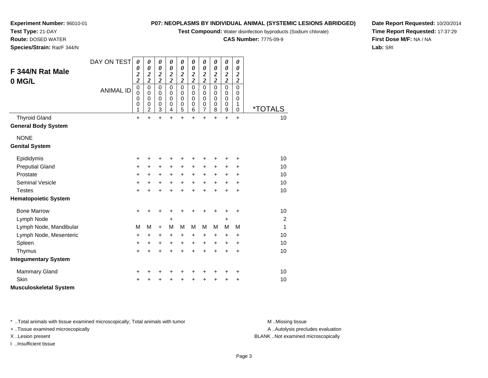**Test Compound:** Water disinfection byproducts (Sodium chlorate)

**CAS Number:** 7775-09-9

**Date Report Requested:** 10/20/2014**Time Report Requested:** 17:37:29**First Dose M/F:** NA / NA**Lab:** SRI

**Experiment Number:** 96010-01**Test Type:** 21-DAY **Route:** DOSED WATER**Species/Strain:** Rat/F 344/N

| F 344/N Rat Male<br>0 MG/L<br><b>Thyroid Gland</b> | DAY ON TEST<br><b>ANIMAL ID</b> | $\boldsymbol{\theta}$<br>0<br>$\overline{\mathbf{c}}$<br>$\overline{c}$<br>$\mathbf 0$<br>0<br>0<br>$\mathbf 0$<br>1<br>$\ddot{}$ | $\boldsymbol{\theta}$<br>0<br>$\boldsymbol{2}$<br>$\overline{2}$<br>$\mathbf 0$<br>0<br>$\mathbf 0$<br>$\mathbf 0$<br>$\boldsymbol{2}$<br>$+$ | 0<br>$\boldsymbol{\theta}$<br>$\overline{\mathbf{c}}$<br>$\overline{\mathbf{c}}$<br>$\mathbf 0$<br>0<br>$\mathbf 0$<br>$\pmb{0}$<br>$\mathbf 3$<br>$+$ | 0<br>$\boldsymbol{\theta}$<br>$\overline{\mathbf{c}}$<br>$\overline{2}$<br>$\mathbf 0$<br>$\Omega$<br>$\Omega$<br>0<br>4<br>$\ddot{}$ | 0<br>$\boldsymbol{\theta}$<br>$\overline{\mathbf{c}}$<br>$\overline{\mathbf{c}}$<br>$\mathbf 0$<br>0<br>0<br>$\,0\,$<br>5<br>$\ddot{}$ | 0<br>0<br>$\boldsymbol{2}$<br>$\overline{\mathbf{c}}$<br>$\mathbf 0$<br>$\Omega$<br>0<br>0<br>6<br>$+$ | 0<br>0<br>$\overline{\mathbf{c}}$<br>$\overline{\mathbf{c}}$<br>$\mathbf 0$<br>0<br>0<br>0<br>$\overline{7}$<br>$+$ | 0<br>0<br>$\overline{\mathbf{c}}$<br>$\overline{\mathbf{c}}$<br>$\Omega$<br>$\Omega$<br>$\Omega$<br>0<br>8<br>$\ddot{}$ | $\boldsymbol{\theta}$<br>$\boldsymbol{\theta}$<br>$\boldsymbol{2}$<br>$\overline{\mathbf{c}}$<br>$\mathbf 0$<br>0<br>$\mathbf 0$<br>$\pmb{0}$<br>9<br>$+$ | 0<br>0<br>$\overline{\mathbf{c}}$<br>$\overline{2}$<br>$\mathbf 0$<br>0<br>$\mathbf 0$<br>1<br>$\mathbf 0$<br>$+$ | <i><b>*TOTALS</b></i><br>10 |
|----------------------------------------------------|---------------------------------|-----------------------------------------------------------------------------------------------------------------------------------|-----------------------------------------------------------------------------------------------------------------------------------------------|--------------------------------------------------------------------------------------------------------------------------------------------------------|---------------------------------------------------------------------------------------------------------------------------------------|----------------------------------------------------------------------------------------------------------------------------------------|--------------------------------------------------------------------------------------------------------|---------------------------------------------------------------------------------------------------------------------|-------------------------------------------------------------------------------------------------------------------------|-----------------------------------------------------------------------------------------------------------------------------------------------------------|-------------------------------------------------------------------------------------------------------------------|-----------------------------|
| <b>General Body System</b>                         |                                 |                                                                                                                                   |                                                                                                                                               |                                                                                                                                                        |                                                                                                                                       |                                                                                                                                        |                                                                                                        |                                                                                                                     |                                                                                                                         |                                                                                                                                                           |                                                                                                                   |                             |
| <b>NONE</b><br><b>Genital System</b>               |                                 |                                                                                                                                   |                                                                                                                                               |                                                                                                                                                        |                                                                                                                                       |                                                                                                                                        |                                                                                                        |                                                                                                                     |                                                                                                                         |                                                                                                                                                           |                                                                                                                   |                             |
| Epididymis                                         |                                 | +                                                                                                                                 |                                                                                                                                               | +                                                                                                                                                      | +                                                                                                                                     | +                                                                                                                                      |                                                                                                        | +                                                                                                                   | +                                                                                                                       | +                                                                                                                                                         | ٠                                                                                                                 | 10                          |
| <b>Preputial Gland</b>                             |                                 | $\ddot{}$                                                                                                                         | $\ddot{}$                                                                                                                                     | $\ddot{}$                                                                                                                                              | $\ddot{}$                                                                                                                             | $\ddot{}$                                                                                                                              | $\ddot{}$                                                                                              | $+$                                                                                                                 | $\ddot{}$                                                                                                               | $\ddot{}$                                                                                                                                                 | $\ddot{}$                                                                                                         | 10                          |
| Prostate                                           |                                 | +                                                                                                                                 | +                                                                                                                                             | $\ddot{}$                                                                                                                                              | $\ddot{}$                                                                                                                             | $\ddot{}$                                                                                                                              | $\ddot{}$                                                                                              | $\ddot{}$                                                                                                           | $\ddot{}$                                                                                                               | +                                                                                                                                                         | $\ddot{}$                                                                                                         | 10                          |
| <b>Seminal Vesicle</b>                             |                                 | +                                                                                                                                 | +                                                                                                                                             | $\ddot{}$                                                                                                                                              | $\ddot{}$                                                                                                                             | $\ddot{}$                                                                                                                              | $\ddot{}$                                                                                              | $\ddot{}$                                                                                                           | $+$                                                                                                                     | $+$                                                                                                                                                       | $\ddot{}$                                                                                                         | 10                          |
| <b>Testes</b>                                      |                                 | +                                                                                                                                 |                                                                                                                                               | $\ddot{}$                                                                                                                                              | $\ddot{}$                                                                                                                             | $\ddot{}$                                                                                                                              | $\ddot{}$                                                                                              | $\ddot{}$                                                                                                           | $\ddot{}$                                                                                                               | $\ddot{}$                                                                                                                                                 | $\ddot{}$                                                                                                         | 10                          |
| <b>Hematopoietic System</b>                        |                                 |                                                                                                                                   |                                                                                                                                               |                                                                                                                                                        |                                                                                                                                       |                                                                                                                                        |                                                                                                        |                                                                                                                     |                                                                                                                         |                                                                                                                                                           |                                                                                                                   |                             |
| <b>Bone Marrow</b>                                 |                                 | +                                                                                                                                 |                                                                                                                                               | +                                                                                                                                                      | +                                                                                                                                     | +                                                                                                                                      | +                                                                                                      | ÷                                                                                                                   | ÷                                                                                                                       |                                                                                                                                                           | ÷                                                                                                                 | 10                          |
| Lymph Node                                         |                                 |                                                                                                                                   |                                                                                                                                               |                                                                                                                                                        | +                                                                                                                                     |                                                                                                                                        |                                                                                                        |                                                                                                                     |                                                                                                                         | +                                                                                                                                                         |                                                                                                                   | $\overline{c}$              |
| Lymph Node, Mandibular                             |                                 | М                                                                                                                                 | M                                                                                                                                             | $\ddot{}$                                                                                                                                              | M                                                                                                                                     | M                                                                                                                                      | м                                                                                                      | м                                                                                                                   | М                                                                                                                       | M                                                                                                                                                         | M                                                                                                                 | 1                           |
| Lymph Node, Mesenteric                             |                                 | $\ddot{}$                                                                                                                         | +                                                                                                                                             | $\ddot{}$                                                                                                                                              | $\ddot{}$                                                                                                                             | +                                                                                                                                      | +                                                                                                      | +                                                                                                                   | +                                                                                                                       | +                                                                                                                                                         | $\ddot{}$                                                                                                         | 10                          |
| Spleen                                             |                                 | +                                                                                                                                 | +                                                                                                                                             | $\ddot{}$                                                                                                                                              | +                                                                                                                                     | +                                                                                                                                      | +                                                                                                      | $\ddot{}$                                                                                                           | +                                                                                                                       | +                                                                                                                                                         | $\ddot{}$                                                                                                         | 10                          |
| Thymus                                             |                                 | $\ddot{}$                                                                                                                         |                                                                                                                                               | $\ddot{}$                                                                                                                                              | $\ddot{}$                                                                                                                             | $\ddot{}$                                                                                                                              | $\ddot{}$                                                                                              | $\ddot{}$                                                                                                           | $\ddot{}$                                                                                                               | $\ddot{}$                                                                                                                                                 | $\ddot{}$                                                                                                         | 10                          |
| <b>Integumentary System</b>                        |                                 |                                                                                                                                   |                                                                                                                                               |                                                                                                                                                        |                                                                                                                                       |                                                                                                                                        |                                                                                                        |                                                                                                                     |                                                                                                                         |                                                                                                                                                           |                                                                                                                   |                             |
| <b>Mammary Gland</b>                               |                                 | +                                                                                                                                 |                                                                                                                                               | +                                                                                                                                                      | +                                                                                                                                     | +                                                                                                                                      | +                                                                                                      | +                                                                                                                   | +                                                                                                                       | +                                                                                                                                                         | +                                                                                                                 | 10                          |
| Skin                                               |                                 | +                                                                                                                                 |                                                                                                                                               |                                                                                                                                                        |                                                                                                                                       | +                                                                                                                                      |                                                                                                        | +                                                                                                                   | +                                                                                                                       | +                                                                                                                                                         | +                                                                                                                 | 10                          |
| <b>Musculoskeletal System</b>                      |                                 |                                                                                                                                   |                                                                                                                                               |                                                                                                                                                        |                                                                                                                                       |                                                                                                                                        |                                                                                                        |                                                                                                                     |                                                                                                                         |                                                                                                                                                           |                                                                                                                   |                             |

\* ..Total animals with tissue examined microscopically; Total animals with tumor **M** . Missing tissue M ..Missing tissue

+ ..Tissue examined microscopically

I ..Insufficient tissue

A ..Autolysis precludes evaluation

X ..Lesion present BLANK ..Not examined microscopically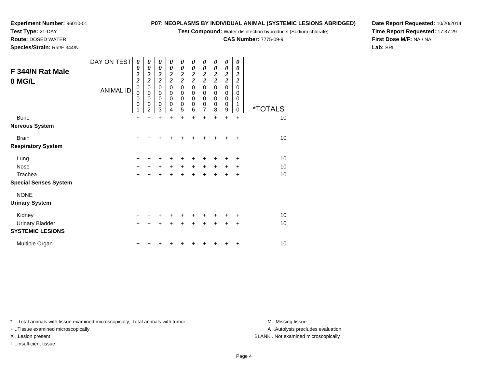**Test Compound:** Water disinfection byproducts (Sodium chlorate)

**CAS Number:** 7775-09-9

**Date Report Requested:** 10/20/2014**Time Report Requested:** 17:37:29**First Dose M/F:** NA / NA**Lab:** SRI

| F 344/N Rat Male<br>0 MG/L   | DAY ON TEST<br><b>ANIMAL ID</b> | 0<br>0<br>$\frac{2}{2}$<br>$\mathbf 0$<br>0<br>0<br>0 | 0<br>$\boldsymbol{\theta}$<br>$\frac{2}{2}$<br>$\mathbf 0$<br>$\mathbf 0$<br>$\mathbf 0$<br>0 | 0<br>$\boldsymbol{\theta}$<br>$\frac{2}{2}$<br>$\pmb{0}$<br>$\mathbf 0$<br>$\mathbf 0$<br>0 | 0<br>0<br>$\frac{2}{2}$<br>0<br>0<br>$\mathbf 0$<br>0 | 0<br>$\boldsymbol{\theta}$<br>$\frac{2}{2}$<br>$\mathsf 0$<br>0<br>$\mathbf 0$<br>0 | 0<br>0<br>$\frac{2}{2}$<br>$\mathbf 0$<br>0<br>$\mathbf 0$<br>0 | 0<br>$\boldsymbol{\theta}$<br>$\frac{2}{2}$<br>0<br>$\pmb{0}$<br>$\pmb{0}$<br>0<br>$\overline{7}$ | 0<br>$\boldsymbol{\theta}$<br>$\boldsymbol{2}$<br>$\overline{2}$<br>$\mathbf 0$<br>0<br>$\mathbf 0$<br>0 | 0<br>0<br>$\frac{2}{2}$<br>$\pmb{0}$<br>$\mathbf 0$<br>$\mathbf 0$<br>$\mathbf 0$ | 0<br>0<br>2<br>$\overline{c}$<br>0<br>0<br>$\mathbf 0$<br>1 | <i><b>*TOTALS</b></i> |
|------------------------------|---------------------------------|-------------------------------------------------------|-----------------------------------------------------------------------------------------------|---------------------------------------------------------------------------------------------|-------------------------------------------------------|-------------------------------------------------------------------------------------|-----------------------------------------------------------------|---------------------------------------------------------------------------------------------------|----------------------------------------------------------------------------------------------------------|-----------------------------------------------------------------------------------|-------------------------------------------------------------|-----------------------|
| <b>Bone</b>                  |                                 | 1<br>$\ddot{}$                                        | $\overline{2}$<br>$\ddot{}$                                                                   | 3<br>$\ddot{}$                                                                              | 4<br>$\ddot{}$                                        | 5<br>$\ddot{}$                                                                      | 6<br>$\ddot{}$                                                  | $\ddot{}$                                                                                         | 8<br>$\ddot{}$                                                                                           | 9<br>$\ddot{}$                                                                    | 0<br>$\ddot{}$                                              | 10                    |
| <b>Nervous System</b>        |                                 |                                                       |                                                                                               |                                                                                             |                                                       |                                                                                     |                                                                 |                                                                                                   |                                                                                                          |                                                                                   |                                                             |                       |
| <b>Brain</b>                 |                                 | $\ddot{}$                                             | +                                                                                             | +                                                                                           |                                                       |                                                                                     |                                                                 |                                                                                                   |                                                                                                          |                                                                                   | +                                                           | 10                    |
| <b>Respiratory System</b>    |                                 |                                                       |                                                                                               |                                                                                             |                                                       |                                                                                     |                                                                 |                                                                                                   |                                                                                                          |                                                                                   |                                                             |                       |
| Lung                         |                                 | $\pm$                                                 | +                                                                                             | +                                                                                           |                                                       | +                                                                                   |                                                                 |                                                                                                   |                                                                                                          |                                                                                   | ٠                                                           | 10                    |
| <b>Nose</b>                  |                                 | $\ddot{}$                                             | +                                                                                             | $\ddot{}$                                                                                   | +                                                     | +                                                                                   | +                                                               | +                                                                                                 |                                                                                                          |                                                                                   | +                                                           | 10                    |
| Trachea                      |                                 | $\ddot{}$                                             | +                                                                                             |                                                                                             |                                                       |                                                                                     | ÷                                                               | $\div$                                                                                            | ÷                                                                                                        | +                                                                                 | +                                                           | 10                    |
| <b>Special Senses System</b> |                                 |                                                       |                                                                                               |                                                                                             |                                                       |                                                                                     |                                                                 |                                                                                                   |                                                                                                          |                                                                                   |                                                             |                       |
| <b>NONE</b>                  |                                 |                                                       |                                                                                               |                                                                                             |                                                       |                                                                                     |                                                                 |                                                                                                   |                                                                                                          |                                                                                   |                                                             |                       |
| <b>Urinary System</b>        |                                 |                                                       |                                                                                               |                                                                                             |                                                       |                                                                                     |                                                                 |                                                                                                   |                                                                                                          |                                                                                   |                                                             |                       |
| Kidney                       |                                 | $\ddot{}$                                             |                                                                                               |                                                                                             |                                                       |                                                                                     |                                                                 |                                                                                                   |                                                                                                          |                                                                                   | ٠                                                           | 10                    |
| <b>Urinary Bladder</b>       |                                 | $\ddot{}$                                             |                                                                                               | $\ddot{}$                                                                                   |                                                       | $\ddot{}$                                                                           | $\ddot{}$                                                       | $\ddot{}$                                                                                         | $\ddot{}$                                                                                                | $\ddot{}$                                                                         | +                                                           | 10                    |
| <b>SYSTEMIC LESIONS</b>      |                                 |                                                       |                                                                                               |                                                                                             |                                                       |                                                                                     |                                                                 |                                                                                                   |                                                                                                          |                                                                                   |                                                             |                       |
| Multiple Organ               |                                 | +                                                     |                                                                                               |                                                                                             |                                                       |                                                                                     |                                                                 |                                                                                                   |                                                                                                          |                                                                                   | +                                                           | 10                    |

\* ..Total animals with tissue examined microscopically; Total animals with tumor **M** . Missing tissue M ..Missing tissue

+ ..Tissue examined microscopically

**Experiment Number:** 96010-01

**Test Type:** 21-DAY **Route:** DOSED WATER**Species/Strain:** Rat/F 344/N

I ..Insufficient tissue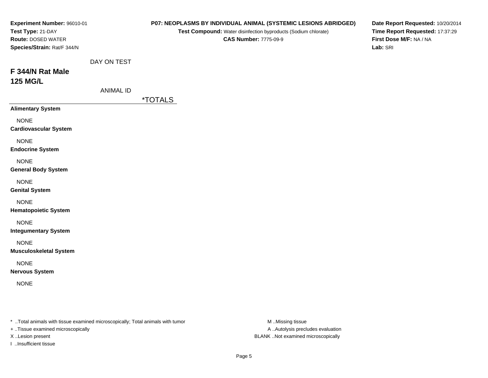| Experiment Number: 96010-01<br>Test Type: 21-DAY<br>Route: DOSED WATER<br>Species/Strain: Rat/F 344/N |                                 | P07: NEOPLASMS BY INDIVIDUAL ANIMAL (SYSTEMIC LESIONS ABRIDGED)<br>Test Compound: Water disinfection byproducts (Sodium chlorate)<br><b>CAS Number: 7775-09-9</b> | Date Report Requested: 10/20/2014<br>Time Report Requested: 17:37:29<br>First Dose M/F: NA / NA<br>Lab: SRI |
|-------------------------------------------------------------------------------------------------------|---------------------------------|-------------------------------------------------------------------------------------------------------------------------------------------------------------------|-------------------------------------------------------------------------------------------------------------|
| F 344/N Rat Male<br><b>125 MG/L</b>                                                                   | DAY ON TEST<br><b>ANIMAL ID</b> | <i><b>*TOTALS</b></i>                                                                                                                                             |                                                                                                             |
| <b>Alimentary System</b>                                                                              |                                 |                                                                                                                                                                   |                                                                                                             |
| <b>NONE</b><br><b>Cardiovascular System</b>                                                           |                                 |                                                                                                                                                                   |                                                                                                             |
| <b>NONE</b><br><b>Endocrine System</b>                                                                |                                 |                                                                                                                                                                   |                                                                                                             |
| <b>NONE</b><br><b>General Body System</b>                                                             |                                 |                                                                                                                                                                   |                                                                                                             |
| <b>NONE</b><br><b>Genital System</b>                                                                  |                                 |                                                                                                                                                                   |                                                                                                             |
| <b>NONE</b><br><b>Hematopoietic System</b>                                                            |                                 |                                                                                                                                                                   |                                                                                                             |
| <b>NONE</b><br><b>Integumentary System</b>                                                            |                                 |                                                                                                                                                                   |                                                                                                             |
| <b>NONE</b><br><b>Musculoskeletal System</b>                                                          |                                 |                                                                                                                                                                   |                                                                                                             |
| <b>NONE</b><br><b>Nervous System</b>                                                                  |                                 |                                                                                                                                                                   |                                                                                                             |
| <b>NONE</b>                                                                                           |                                 |                                                                                                                                                                   |                                                                                                             |

\* ..Total animals with tissue examined microscopically; Total animals with tumor M..Missing tissue M

+ ..Tissue examined microscopically

I ..Insufficient tissue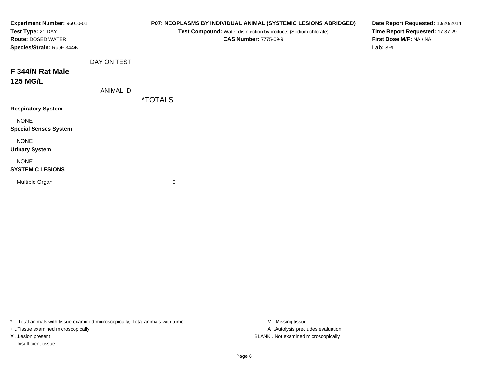| Experiment Number: 96010-01<br>Test Type: 21-DAY<br><b>Route: DOSED WATER</b><br>Species/Strain: Rat/F 344/N |                  | P07: NEOPLASMS BY INDIVIDUAL ANIMAL (SYSTEMIC LESIONS ABRIDGED)<br>Test Compound: Water disinfection byproducts (Sodium chlorate)<br><b>CAS Number: 7775-09-9</b> | Date Report Requested: 10/20/2014<br>Time Report Requested: 17:37:29<br>First Dose M/F: NA / NA<br>Lab: SRI |
|--------------------------------------------------------------------------------------------------------------|------------------|-------------------------------------------------------------------------------------------------------------------------------------------------------------------|-------------------------------------------------------------------------------------------------------------|
|                                                                                                              | DAY ON TEST      |                                                                                                                                                                   |                                                                                                             |
| F 344/N Rat Male                                                                                             |                  |                                                                                                                                                                   |                                                                                                             |
| <b>125 MG/L</b>                                                                                              |                  |                                                                                                                                                                   |                                                                                                             |
|                                                                                                              | <b>ANIMAL ID</b> |                                                                                                                                                                   |                                                                                                             |
|                                                                                                              |                  | <i><b>*TOTALS</b></i>                                                                                                                                             |                                                                                                             |
| <b>Respiratory System</b>                                                                                    |                  |                                                                                                                                                                   |                                                                                                             |
| <b>NONE</b><br><b>Special Senses System</b>                                                                  |                  |                                                                                                                                                                   |                                                                                                             |
| <b>NONE</b><br><b>Urinary System</b>                                                                         |                  |                                                                                                                                                                   |                                                                                                             |
| <b>NONE</b><br><b>SYSTEMIC LESIONS</b>                                                                       |                  |                                                                                                                                                                   |                                                                                                             |
| Multiple Organ                                                                                               |                  | 0                                                                                                                                                                 |                                                                                                             |

\* ..Total animals with tissue examined microscopically; Total animals with tumor M..Missing tissue M ..Missing tissue

+ ..Tissue examined microscopically

I ..Insufficient tissue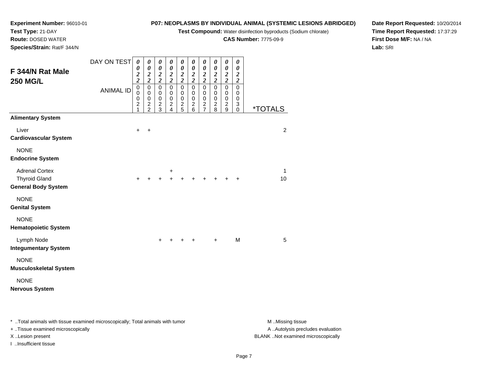**Test Compound:** Water disinfection byproducts (Sodium chlorate)

**CAS Number:** 7775-09-9

**Date Report Requested:** 10/20/2014**Time Report Requested:** 17:37:29**First Dose M/F:** NA / NA**Lab:** SRI

**Experiment Number:** 96010-01**Test Type:** 21-DAY **Route:** DOSED WATER**Species/Strain:** Rat/F 344/N

| F 344/N Rat Male<br><b>250 MG/L</b>                                         | DAY ON TEST<br><b>ANIMAL ID</b> | 0<br>0<br>$\frac{2}{2}$<br>$\pmb{0}$<br>$\mathbf 0$<br>$\frac{0}{2}$<br>1 | 0<br>$\pmb{\theta}$<br>$\frac{2}{2}$<br>$\pmb{0}$<br>$\pmb{0}$<br>$\pmb{0}$<br>$\frac{2}{2}$ | 0<br>0<br>$\frac{2}{2}$<br>$\mathsf 0$<br>0<br>0<br>$\frac{2}{3}$ | 0<br>$\boldsymbol{\theta}$<br>$\frac{2}{2}$<br>$\mathbf 0$<br>$\mathbf 0$<br>$\mathbf 0$<br>$\overline{\mathbf{c}}$<br>4 | 0<br>$\boldsymbol{\theta}$<br>$\frac{2}{2}$<br>$\mathsf 0$<br>$\mathbf 0$<br>0<br>$\frac{2}{5}$ | 0<br>$\boldsymbol{\theta}$<br>$\frac{2}{2}$<br>$\mathbf 0$<br>$\mathbf 0$<br>$\pmb{0}$<br>$\boldsymbol{2}$<br>6 | 0<br>$\boldsymbol{\theta}$<br>$\frac{2}{2}$<br>$\mathbf 0$<br>$\pmb{0}$<br>$\pmb{0}$<br>$\boldsymbol{2}$<br>$\overline{7}$ | 0<br>$\boldsymbol{\theta}$<br>$\frac{2}{2}$<br>$\mathbf 0$<br>$\pmb{0}$<br>$\mathbf 0$<br>$\overline{2}$<br>8 | 0<br>$\boldsymbol{\theta}$<br>$\frac{2}{2}$<br>$\mathbf 0$<br>$\mathbf 0$<br>$\,0\,$<br>$\boldsymbol{2}$<br>9 | 0<br>0<br>$\boldsymbol{2}$<br>$\boldsymbol{2}$<br>$\pmb{0}$<br>0<br>0<br>3<br>0 | <i><b>*TOTALS</b></i> |
|-----------------------------------------------------------------------------|---------------------------------|---------------------------------------------------------------------------|----------------------------------------------------------------------------------------------|-------------------------------------------------------------------|--------------------------------------------------------------------------------------------------------------------------|-------------------------------------------------------------------------------------------------|-----------------------------------------------------------------------------------------------------------------|----------------------------------------------------------------------------------------------------------------------------|---------------------------------------------------------------------------------------------------------------|---------------------------------------------------------------------------------------------------------------|---------------------------------------------------------------------------------|-----------------------|
| <b>Alimentary System</b>                                                    |                                 |                                                                           |                                                                                              |                                                                   |                                                                                                                          |                                                                                                 |                                                                                                                 |                                                                                                                            |                                                                                                               |                                                                                                               |                                                                                 |                       |
| Liver<br><b>Cardiovascular System</b>                                       |                                 | $\ddot{}$                                                                 | $\ddot{}$                                                                                    |                                                                   |                                                                                                                          |                                                                                                 |                                                                                                                 |                                                                                                                            |                                                                                                               |                                                                                                               |                                                                                 | 2                     |
| <b>NONE</b><br><b>Endocrine System</b>                                      |                                 |                                                                           |                                                                                              |                                                                   |                                                                                                                          |                                                                                                 |                                                                                                                 |                                                                                                                            |                                                                                                               |                                                                                                               |                                                                                 |                       |
| <b>Adrenal Cortex</b><br><b>Thyroid Gland</b><br><b>General Body System</b> |                                 | $\pm$                                                                     |                                                                                              |                                                                   | +                                                                                                                        |                                                                                                 |                                                                                                                 |                                                                                                                            |                                                                                                               |                                                                                                               | +                                                                               | 1<br>10               |
| <b>NONE</b><br><b>Genital System</b>                                        |                                 |                                                                           |                                                                                              |                                                                   |                                                                                                                          |                                                                                                 |                                                                                                                 |                                                                                                                            |                                                                                                               |                                                                                                               |                                                                                 |                       |
| <b>NONE</b><br><b>Hematopoietic System</b>                                  |                                 |                                                                           |                                                                                              |                                                                   |                                                                                                                          |                                                                                                 |                                                                                                                 |                                                                                                                            |                                                                                                               |                                                                                                               |                                                                                 |                       |
| Lymph Node<br><b>Integumentary System</b>                                   |                                 |                                                                           |                                                                                              | $\pm$                                                             |                                                                                                                          |                                                                                                 |                                                                                                                 |                                                                                                                            | $\ddot{}$                                                                                                     |                                                                                                               | M                                                                               | 5                     |
| <b>NONE</b><br><b>Musculoskeletal System</b>                                |                                 |                                                                           |                                                                                              |                                                                   |                                                                                                                          |                                                                                                 |                                                                                                                 |                                                                                                                            |                                                                                                               |                                                                                                               |                                                                                 |                       |
| <b>NONE</b><br><b>Nervous System</b>                                        |                                 |                                                                           |                                                                                              |                                                                   |                                                                                                                          |                                                                                                 |                                                                                                                 |                                                                                                                            |                                                                                                               |                                                                                                               |                                                                                 |                       |

\* ..Total animals with tissue examined microscopically; Total animals with tumor **M** . Missing tissue M ..Missing tissue

+ ..Tissue examined microscopically

I ..Insufficient tissue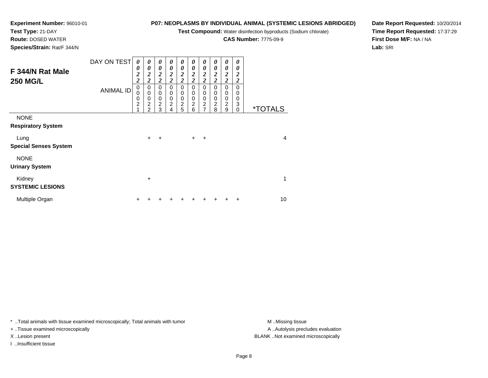**Test Compound:** Water disinfection byproducts (Sodium chlorate)

**CAS Number:** 7775-09-9

**Date Report Requested:** 10/20/2014**Time Report Requested:** 17:37:29**First Dose M/F:** NA / NA**Lab:** SRI

**Experiment Number:** 96010-01**Test Type:** 21-DAY **Route:** DOSED WATER**Species/Strain:** Rat/F 344/N

| F 344/N Rat Male<br><b>250 MG/L</b>      | DAY ON TEST<br><b>ANIMAL ID</b> | $\theta$<br>0<br>$\boldsymbol{2}$<br>$\overline{\mathbf{c}}$<br>$\mathbf 0$<br>0<br>0<br>$\overline{c}$<br>4 | 0<br>0<br>$\boldsymbol{2}$<br>$\overline{2}$<br>$\mathbf 0$<br>$\mathbf 0$<br>$\mathbf 0$<br>$\overline{c}$<br>$\overline{2}$ | $\boldsymbol{\theta}$<br>$\boldsymbol{\theta}$<br>$\boldsymbol{2}$<br>$\overline{c}$<br>$\Omega$<br>0<br>$\mathbf 0$<br>$\overline{c}$<br>3 | 0<br>0<br>2<br>$\overline{\mathbf{c}}$<br>$\mathbf 0$<br>0<br>$\pmb{0}$<br>$\overline{c}$<br>4 | 0<br>0<br>$\boldsymbol{2}$<br>$\overline{\mathbf{c}}$<br>$\Omega$<br>0<br>$\mathbf 0$<br>$\overline{c}$<br>5 | 0<br>0<br>2<br>$\overline{c}$<br>$\mathbf 0$<br>0<br>$\mathbf 0$<br>$\overline{c}$<br>6 | 0<br>$\boldsymbol{\theta}$<br>$\overline{c}$<br>$\overline{c}$<br>$\Omega$<br>0<br>$\mathbf 0$<br>$\overline{c}$<br>$\overline{7}$ | 0<br>0<br>$\overline{c}$<br>$\overline{\mathbf{c}}$<br>$\mathbf 0$<br>0<br>$\mathbf 0$<br>$\boldsymbol{2}$<br>8 | 0<br>0<br>$\overline{c}$<br>$\overline{2}$<br>$\Omega$<br>0<br>$\mathbf 0$<br>$\boldsymbol{2}$<br>9 | 0<br>0<br>$\boldsymbol{2}$<br>$\overline{2}$<br>$\Omega$<br>0<br>0<br>3<br>$\mathbf 0$ | <i><b>*TOTALS</b></i> |
|------------------------------------------|---------------------------------|--------------------------------------------------------------------------------------------------------------|-------------------------------------------------------------------------------------------------------------------------------|---------------------------------------------------------------------------------------------------------------------------------------------|------------------------------------------------------------------------------------------------|--------------------------------------------------------------------------------------------------------------|-----------------------------------------------------------------------------------------|------------------------------------------------------------------------------------------------------------------------------------|-----------------------------------------------------------------------------------------------------------------|-----------------------------------------------------------------------------------------------------|----------------------------------------------------------------------------------------|-----------------------|
| <b>NONE</b><br><b>Respiratory System</b> |                                 |                                                                                                              |                                                                                                                               |                                                                                                                                             |                                                                                                |                                                                                                              |                                                                                         |                                                                                                                                    |                                                                                                                 |                                                                                                     |                                                                                        |                       |
| Lung<br><b>Special Senses System</b>     |                                 |                                                                                                              | $\ddot{}$                                                                                                                     | ÷                                                                                                                                           |                                                                                                |                                                                                                              | $\ddot{}$                                                                               | ÷                                                                                                                                  |                                                                                                                 |                                                                                                     |                                                                                        | $\overline{4}$        |
| <b>NONE</b><br><b>Urinary System</b>     |                                 |                                                                                                              |                                                                                                                               |                                                                                                                                             |                                                                                                |                                                                                                              |                                                                                         |                                                                                                                                    |                                                                                                                 |                                                                                                     |                                                                                        |                       |
| Kidney<br><b>SYSTEMIC LESIONS</b>        |                                 |                                                                                                              | $\ddot{}$                                                                                                                     |                                                                                                                                             |                                                                                                |                                                                                                              |                                                                                         |                                                                                                                                    |                                                                                                                 |                                                                                                     |                                                                                        | 1                     |
| Multiple Organ                           |                                 | ٠                                                                                                            |                                                                                                                               |                                                                                                                                             |                                                                                                |                                                                                                              | ٠                                                                                       | ٠                                                                                                                                  | +                                                                                                               | ÷                                                                                                   | ÷                                                                                      | 10                    |

\* ..Total animals with tissue examined microscopically; Total animals with tumor **M** . Missing tissue M ..Missing tissue

+ ..Tissue examined microscopically

I ..Insufficient tissue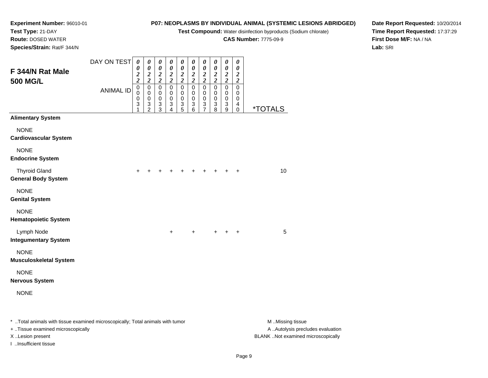**Test Compound:** Water disinfection byproducts (Sodium chlorate)

**CAS Number:** 7775-09-9

**Date Report Requested:** 10/20/2014**Time Report Requested:** 17:37:29**First Dose M/F:** NA / NA**Lab:** SRI

**Experiment Number:** 96010-01**Test Type:** 21-DAY **Route:** DOSED WATER**Species/Strain:** Rat/F 344/N

| F 344/N Rat Male<br><b>500 MG/L</b>                                            | DAY ON TEST      | $\boldsymbol{\theta}$<br>0<br>$\frac{2}{2}$ | 0<br>$\pmb{\theta}$<br>$\frac{2}{2}$                       | $\pmb{\theta}$<br>$\pmb{\theta}$<br>$\frac{2}{2}$ | $\boldsymbol{\theta}$<br>$\pmb{\theta}$<br>$\frac{2}{2}$                     | 0<br>$\pmb{\theta}$<br>$\frac{2}{2}$          | $\pmb{\theta}$<br>$\pmb{\theta}$<br>$\frac{2}{2}$                       | $\pmb{\theta}$<br>$\pmb{\theta}$<br>$\frac{2}{2}$                                  | $\pmb{\theta}$<br>$\pmb{\theta}$<br>$\frac{2}{2}$                            | $\boldsymbol{\theta}$<br>$\pmb{\theta}$<br>$\frac{2}{2}$        | 0<br>$\pmb{\theta}$<br>$\frac{2}{2}$ |                       |
|--------------------------------------------------------------------------------|------------------|---------------------------------------------|------------------------------------------------------------|---------------------------------------------------|------------------------------------------------------------------------------|-----------------------------------------------|-------------------------------------------------------------------------|------------------------------------------------------------------------------------|------------------------------------------------------------------------------|-----------------------------------------------------------------|--------------------------------------|-----------------------|
|                                                                                | <b>ANIMAL ID</b> | $\pmb{0}$<br>$\mathbf 0$<br>0<br>3<br>1     | $\pmb{0}$<br>$\mathbf 0$<br>$\,0\,$<br>3<br>$\overline{2}$ | $\mathbf 0$<br>$\mathbf 0$<br>$_{3}^{\rm 0}$<br>3 | $\pmb{0}$<br>$\pmb{0}$<br>$\boldsymbol{0}$<br>$\ensuremath{\mathsf{3}}$<br>4 | $\pmb{0}$<br>$\pmb{0}$<br>$\pmb{0}$<br>3<br>5 | $\mathbf 0$<br>$\pmb{0}$<br>$\pmb{0}$<br>$\ensuremath{\mathsf{3}}$<br>6 | $\pmb{0}$<br>$\pmb{0}$<br>$\pmb{0}$<br>$\ensuremath{\mathsf{3}}$<br>$\overline{7}$ | $\mathbf 0$<br>$\,0\,$<br>$\begin{smallmatrix} 0\\ 3 \end{smallmatrix}$<br>8 | $\pmb{0}$<br>$\mathbf 0$<br>0<br>$\ensuremath{\mathsf{3}}$<br>9 | $\mathbf 0$<br>0<br>0<br>4<br>0      | <i><b>*TOTALS</b></i> |
| <b>Alimentary System</b>                                                       |                  |                                             |                                                            |                                                   |                                                                              |                                               |                                                                         |                                                                                    |                                                                              |                                                                 |                                      |                       |
| <b>NONE</b><br><b>Cardiovascular System</b>                                    |                  |                                             |                                                            |                                                   |                                                                              |                                               |                                                                         |                                                                                    |                                                                              |                                                                 |                                      |                       |
| <b>NONE</b><br><b>Endocrine System</b>                                         |                  |                                             |                                                            |                                                   |                                                                              |                                               |                                                                         |                                                                                    |                                                                              |                                                                 |                                      |                       |
| <b>Thyroid Gland</b><br><b>General Body System</b>                             |                  | $\pm$                                       |                                                            |                                                   | ٠                                                                            | ٠                                             | ٠                                                                       | $\pm$                                                                              | $\pm$                                                                        | $\ddot{}$                                                       | $\ddot{}$                            | 10                    |
| <b>NONE</b><br><b>Genital System</b>                                           |                  |                                             |                                                            |                                                   |                                                                              |                                               |                                                                         |                                                                                    |                                                                              |                                                                 |                                      |                       |
| <b>NONE</b><br><b>Hematopoietic System</b>                                     |                  |                                             |                                                            |                                                   |                                                                              |                                               |                                                                         |                                                                                    |                                                                              |                                                                 |                                      |                       |
| Lymph Node<br><b>Integumentary System</b>                                      |                  |                                             |                                                            |                                                   | $\ddot{}$                                                                    |                                               | +                                                                       |                                                                                    |                                                                              | +                                                               | $\ddot{}$                            | $\sqrt{5}$            |
| <b>NONE</b><br><b>Musculoskeletal System</b>                                   |                  |                                             |                                                            |                                                   |                                                                              |                                               |                                                                         |                                                                                    |                                                                              |                                                                 |                                      |                       |
| <b>NONE</b><br><b>Nervous System</b>                                           |                  |                                             |                                                            |                                                   |                                                                              |                                               |                                                                         |                                                                                    |                                                                              |                                                                 |                                      |                       |
| <b>NONE</b>                                                                    |                  |                                             |                                                            |                                                   |                                                                              |                                               |                                                                         |                                                                                    |                                                                              |                                                                 |                                      |                       |
| * Total animals with tissue examined microscopically; Total animals with tumor |                  |                                             |                                                            |                                                   |                                                                              |                                               |                                                                         |                                                                                    |                                                                              |                                                                 |                                      | M Missing tissue      |

+ ..Tissue examined microscopically

I ..Insufficient tissue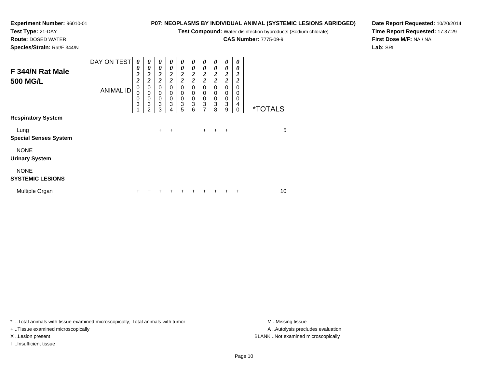**Test Compound:** Water disinfection byproducts (Sodium chlorate)

**CAS Number:** 7775-09-9

**Date Report Requested:** 10/20/2014**Time Report Requested:** 17:37:29**First Dose M/F:** NA / NA**Lab:** SRI

|                                        | DAY ON TEST      | 0                                                       | 0                                                    | 0                                                | 0                                           | 0                                                           | 0                                                           | 0                                                               | 0                                                           | 0                                                                            | 0                                                |                       |
|----------------------------------------|------------------|---------------------------------------------------------|------------------------------------------------------|--------------------------------------------------|---------------------------------------------|-------------------------------------------------------------|-------------------------------------------------------------|-----------------------------------------------------------------|-------------------------------------------------------------|------------------------------------------------------------------------------|--------------------------------------------------|-----------------------|
| F 344/N Rat Male<br><b>500 MG/L</b>    |                  | 0<br>$\overline{\mathbf{c}}$<br>$\overline{\mathbf{c}}$ | 0<br>$\boldsymbol{2}$<br>$\overline{2}$              | 0<br>$\boldsymbol{2}$<br>$\overline{\mathbf{c}}$ | 0<br>2<br>$\overline{c}$                    | 0<br>$\boldsymbol{2}$<br>$\overline{c}$                     | $\boldsymbol{\theta}$<br>$\boldsymbol{2}$<br>$\overline{c}$ | 0<br>$\frac{2}{2}$                                              | 0<br>$\boldsymbol{2}$<br>$\overline{2}$                     | 0<br>$\frac{2}{2}$                                                           | 0<br>$\boldsymbol{2}$<br>$\overline{\mathbf{c}}$ |                       |
|                                        | <b>ANIMAL ID</b> | $\pmb{0}$<br>$\mathbf 0$<br>0<br>3                      | 0<br>$\mathbf 0$<br>$\pmb{0}$<br>3<br>$\overline{2}$ | 0<br>$\pmb{0}$<br>$\pmb{0}$<br>3<br>3            | $\Omega$<br>$\mathbf 0$<br>$\mathbf 0$<br>3 | $\Omega$<br>$\pmb{0}$<br>$\mathbf 0$<br>$\overline{3}$<br>5 | $\Omega$<br>$\mathbf 0$<br>$\pmb{0}$<br>$\overline{3}$<br>6 | 0<br>$\pmb{0}$<br>$\pmb{0}$<br>$\overline{3}$<br>$\overline{7}$ | $\Omega$<br>$\mathbf 0$<br>$\pmb{0}$<br>$\overline{3}$<br>8 | $\mathbf 0$<br>$\pmb{0}$<br>$\begin{smallmatrix}0\0\3\end{smallmatrix}$<br>9 | $\Omega$<br>0<br>0<br>4<br>$\mathbf 0$           | <i><b>*TOTALS</b></i> |
| <b>Respiratory System</b>              |                  |                                                         |                                                      |                                                  | 4                                           |                                                             |                                                             |                                                                 |                                                             |                                                                              |                                                  |                       |
| Lung<br><b>Special Senses System</b>   |                  |                                                         |                                                      | $\ddot{}$                                        | $\div$                                      |                                                             |                                                             | $+$ $-$                                                         | $+$                                                         | $+$                                                                          |                                                  | 5                     |
| <b>NONE</b>                            |                  |                                                         |                                                      |                                                  |                                             |                                                             |                                                             |                                                                 |                                                             |                                                                              |                                                  |                       |
| <b>Urinary System</b>                  |                  |                                                         |                                                      |                                                  |                                             |                                                             |                                                             |                                                                 |                                                             |                                                                              |                                                  |                       |
| <b>NONE</b><br><b>SYSTEMIC LESIONS</b> |                  |                                                         |                                                      |                                                  |                                             |                                                             |                                                             |                                                                 |                                                             |                                                                              |                                                  |                       |
| Multiple Organ                         |                  | +                                                       |                                                      |                                                  |                                             |                                                             |                                                             |                                                                 |                                                             |                                                                              | ٠                                                | 10                    |

\* ..Total animals with tissue examined microscopically; Total animals with tumor **M** . Missing tissue M ..Missing tissue

+ ..Tissue examined microscopically

**Experiment Number:** 96010-01

**Test Type:** 21-DAY **Route:** DOSED WATER**Species/Strain:** Rat/F 344/N

I ..Insufficient tissue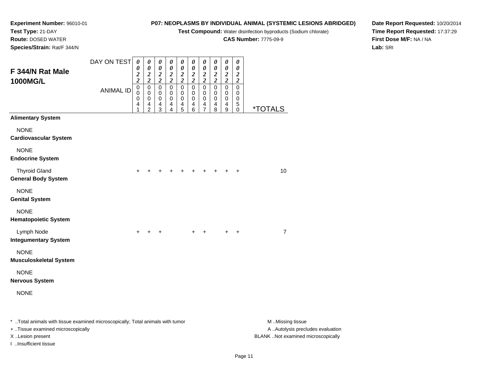**Test Compound:** Water disinfection byproducts (Sodium chlorate)

**CAS Number:** 7775-09-9

**Date Report Requested:** 10/20/2014**Time Report Requested:** 17:37:29**First Dose M/F:** NA / NA**Lab:** SRI

**Experiment Number:** 96010-01**Test Type:** 21-DAY **Route:** DOSED WATER**Species/Strain:** Rat/F 344/N

| F 344/N Rat Male                                                               | DAY ON TEST      | $\pmb{\theta}$<br>0<br>$\boldsymbol{2}$<br>$\overline{\mathbf{c}}$ | 0<br>$\boldsymbol{\theta}$<br>$\boldsymbol{2}$<br>$\overline{2}$ | 0<br>$\pmb{\theta}$<br>$\boldsymbol{2}$<br>$\overline{2}$     | 0<br>$\pmb{\theta}$<br>$\frac{2}{2}$              | $\boldsymbol{\theta}$<br>$\boldsymbol{\theta}$<br>$\boldsymbol{2}$<br>$\overline{\mathbf{c}}$ | 0<br>$\boldsymbol{\theta}$<br>$\boldsymbol{2}$<br>$\overline{\mathbf{c}}$ | $\pmb{\theta}$<br>$\pmb{\theta}$<br>$\frac{2}{2}$                        | 0<br>$\pmb{\theta}$<br>$\boldsymbol{2}$<br>$\overline{c}$ | 0<br>$\pmb{\theta}$<br>$\boldsymbol{2}$<br>$\overline{\mathbf{c}}$      | $\boldsymbol{\theta}$<br>$\boldsymbol{\theta}$<br>$\boldsymbol{2}$              |                       |
|--------------------------------------------------------------------------------|------------------|--------------------------------------------------------------------|------------------------------------------------------------------|---------------------------------------------------------------|---------------------------------------------------|-----------------------------------------------------------------------------------------------|---------------------------------------------------------------------------|--------------------------------------------------------------------------|-----------------------------------------------------------|-------------------------------------------------------------------------|---------------------------------------------------------------------------------|-----------------------|
| <b>1000MG/L</b>                                                                | <b>ANIMAL ID</b> | $\mathbf 0$<br>0<br>0<br>4                                         | $\mathbf 0$<br>$\mathbf 0$<br>$\mathbf 0$<br>4<br>2              | $\mathsf 0$<br>$\mathbf 0$<br>$\Omega$<br>$\overline{4}$<br>3 | $\mathbf 0$<br>$\pmb{0}$<br>$\mathbf 0$<br>4<br>4 | $\pmb{0}$<br>$\mathbf 0$<br>$\mathbf 0$<br>$\overline{4}$<br>5                                | $\mathbf 0$<br>0<br>0<br>4<br>6                                           | $\overline{0}$<br>$\pmb{0}$<br>$\pmb{0}$<br>$\overline{\mathbf{4}}$<br>7 | $\mathsf 0$<br>0<br>0<br>4<br>8                           | $\pmb{0}$<br>$\mathbf 0$<br>$\mathbf 0$<br>$\overline{\mathbf{4}}$<br>9 | $\overline{2}$<br>$\mathsf 0$<br>$\mathbf 0$<br>$\mathbf 0$<br>$\,$ 5 $\,$<br>0 | <i><b>*TOTALS</b></i> |
| <b>Alimentary System</b>                                                       |                  |                                                                    |                                                                  |                                                               |                                                   |                                                                                               |                                                                           |                                                                          |                                                           |                                                                         |                                                                                 |                       |
| <b>NONE</b><br><b>Cardiovascular System</b>                                    |                  |                                                                    |                                                                  |                                                               |                                                   |                                                                                               |                                                                           |                                                                          |                                                           |                                                                         |                                                                                 |                       |
| <b>NONE</b><br><b>Endocrine System</b>                                         |                  |                                                                    |                                                                  |                                                               |                                                   |                                                                                               |                                                                           |                                                                          |                                                           |                                                                         |                                                                                 |                       |
| <b>Thyroid Gland</b><br><b>General Body System</b>                             |                  | $\ddot{}$                                                          |                                                                  | +                                                             |                                                   | +                                                                                             |                                                                           | ٠                                                                        | $\ddot{}$                                                 |                                                                         | +                                                                               | 10                    |
| <b>NONE</b><br><b>Genital System</b>                                           |                  |                                                                    |                                                                  |                                                               |                                                   |                                                                                               |                                                                           |                                                                          |                                                           |                                                                         |                                                                                 |                       |
| <b>NONE</b><br><b>Hematopoietic System</b>                                     |                  |                                                                    |                                                                  |                                                               |                                                   |                                                                                               |                                                                           |                                                                          |                                                           |                                                                         |                                                                                 |                       |
| Lymph Node<br><b>Integumentary System</b>                                      |                  | $\pm$                                                              | $\pm$                                                            | ÷                                                             |                                                   |                                                                                               | ٠                                                                         | $\ddot{}$                                                                |                                                           | $\pm$                                                                   | $\ddot{}$                                                                       | $\overline{7}$        |
| <b>NONE</b><br><b>Musculoskeletal System</b>                                   |                  |                                                                    |                                                                  |                                                               |                                                   |                                                                                               |                                                                           |                                                                          |                                                           |                                                                         |                                                                                 |                       |
| <b>NONE</b><br><b>Nervous System</b>                                           |                  |                                                                    |                                                                  |                                                               |                                                   |                                                                                               |                                                                           |                                                                          |                                                           |                                                                         |                                                                                 |                       |
| <b>NONE</b>                                                                    |                  |                                                                    |                                                                  |                                                               |                                                   |                                                                                               |                                                                           |                                                                          |                                                           |                                                                         |                                                                                 |                       |
| * Total animals with tissue examined microscopically: Total animals with tumor |                  |                                                                    |                                                                  |                                                               |                                                   |                                                                                               |                                                                           |                                                                          |                                                           |                                                                         |                                                                                 | M Missing tiss        |

ned microscopically; Total animals with tumor **Examined microscopically; Total animals with tumor** M ..Missing tissue A ..Autolysis precludes evaluation + ..Tissue examined microscopically X ..Lesion present BLANK ..Not examined microscopicallyI ..Insufficient tissue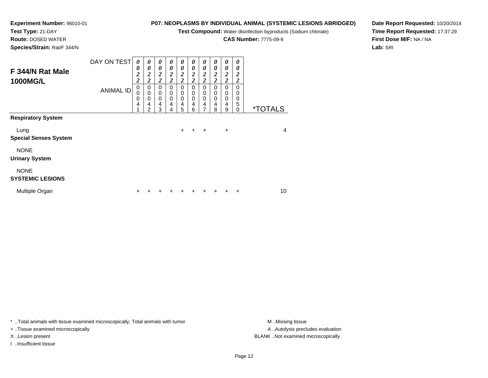**Test Compound:** Water disinfection byproducts (Sodium chlorate)

**CAS Number:** 7775-09-9

**Date Report Requested:** 10/20/2014**Time Report Requested:** 17:37:29**First Dose M/F:** NA / NA**Lab:** SRI

**Experiment Number:** 96010-01**Test Type:** 21-DAY **Route:** DOSED WATER**Species/Strain:** Rat/F 344/N

| F 344/N Rat Male<br><b>1000MG/L</b>    | DAY ON TEST<br><b>ANIMAL ID</b> | 0<br>0<br>$\overline{\mathbf{c}}$<br>$\overline{c}$<br>$\mathbf 0$<br>$\mathbf 0$<br>$\mathbf 0$<br>$\overline{4}$<br>4 | 0<br>0<br>$\boldsymbol{2}$<br>$\overline{c}$<br>0<br>0<br>0<br>4<br>2 | 0<br>$\boldsymbol{\theta}$<br>$\boldsymbol{2}$<br>$\overline{2}$<br>$\mathbf 0$<br>$\mathbf 0$<br>$\mathbf 0$<br>$\overline{4}$<br>3 | 0<br>0<br>$\boldsymbol{2}$<br>$\overline{c}$<br>0<br>0<br>0<br>4<br>4 | 0<br>$\boldsymbol{\theta}$<br>$\boldsymbol{2}$<br>$\overline{2}$<br>$\mathbf 0$<br>$\mathbf 0$<br>$\mathbf 0$<br>4<br>5 | 0<br>0<br>$\boldsymbol{2}$<br>$\overline{\mathbf{c}}$<br>0<br>0<br>0<br>4<br>6 | $\boldsymbol{\theta}$<br>$\boldsymbol{\theta}$<br>$\boldsymbol{2}$<br>$\overline{2}$<br>$\mathbf 0$<br>$\mathbf 0$<br>$\mathbf 0$<br>4<br>7 | 0<br>0<br>2<br>$\overline{c}$<br>$\Omega$<br>0<br>0<br>4<br>8 | 0<br>0<br>$\boldsymbol{2}$<br>$\overline{2}$<br>$\mathbf 0$<br>$\mathbf 0$<br>$\pmb{0}$<br>4<br>9 | 0<br>0<br>2<br>$\overline{\mathbf{c}}$<br>$\mathbf{0}$<br>$\Omega$<br>0<br>5<br>0 | <i><b>*TOTALS</b></i> |
|----------------------------------------|---------------------------------|-------------------------------------------------------------------------------------------------------------------------|-----------------------------------------------------------------------|--------------------------------------------------------------------------------------------------------------------------------------|-----------------------------------------------------------------------|-------------------------------------------------------------------------------------------------------------------------|--------------------------------------------------------------------------------|---------------------------------------------------------------------------------------------------------------------------------------------|---------------------------------------------------------------|---------------------------------------------------------------------------------------------------|-----------------------------------------------------------------------------------|-----------------------|
| <b>Respiratory System</b>              |                                 |                                                                                                                         |                                                                       |                                                                                                                                      |                                                                       |                                                                                                                         |                                                                                |                                                                                                                                             |                                                               |                                                                                                   |                                                                                   |                       |
| Lung<br><b>Special Senses System</b>   |                                 |                                                                                                                         |                                                                       |                                                                                                                                      |                                                                       | $+$                                                                                                                     | $\ddot{}$                                                                      | $\overline{+}$                                                                                                                              |                                                               | $\ddot{}$                                                                                         |                                                                                   | 4                     |
| <b>NONE</b><br><b>Urinary System</b>   |                                 |                                                                                                                         |                                                                       |                                                                                                                                      |                                                                       |                                                                                                                         |                                                                                |                                                                                                                                             |                                                               |                                                                                                   |                                                                                   |                       |
| <b>NONE</b><br><b>SYSTEMIC LESIONS</b> |                                 |                                                                                                                         |                                                                       |                                                                                                                                      |                                                                       |                                                                                                                         |                                                                                |                                                                                                                                             |                                                               |                                                                                                   |                                                                                   |                       |
| Multiple Organ                         |                                 | ÷                                                                                                                       |                                                                       |                                                                                                                                      |                                                                       | ٠                                                                                                                       |                                                                                |                                                                                                                                             |                                                               |                                                                                                   | $\ddot{}$                                                                         | 10                    |

\* ..Total animals with tissue examined microscopically; Total animals with tumor **M** . Missing tissue M ..Missing tissue

+ ..Tissue examined microscopically

I ..Insufficient tissue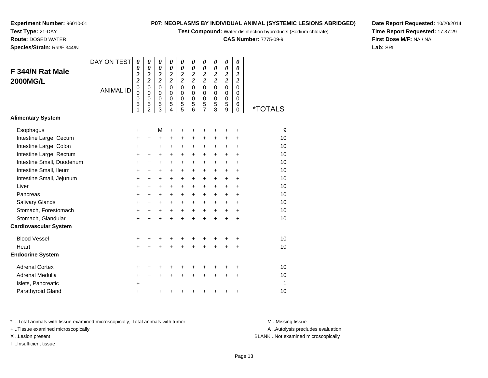**Test Compound:** Water disinfection byproducts (Sodium chlorate)

**CAS Number:** 7775-09-9

**Date Report Requested:** 10/20/2014**Time Report Requested:** 17:37:29**First Dose M/F:** NA / NA**Lab:** SRI

**Experiment Number:** 96010-01**Test Type:** 21-DAY **Route:** DOSED WATER**Species/Strain:** Rat/F 344/N

| F 344/N Rat Male             | DAY ON TEST      | 0<br>0<br>$\boldsymbol{2}$             | $\boldsymbol{\theta}$<br>0                        | 0<br>0                            | 0<br>$\boldsymbol{\theta}$        | 0<br>$\boldsymbol{\theta}$         | 0<br>0                               | 0<br>0                                            | 0<br>$\boldsymbol{\theta}$           | 0<br>0                               | 0<br>0<br>$\boldsymbol{2}$        |                       |
|------------------------------|------------------|----------------------------------------|---------------------------------------------------|-----------------------------------|-----------------------------------|------------------------------------|--------------------------------------|---------------------------------------------------|--------------------------------------|--------------------------------------|-----------------------------------|-----------------------|
| <b>2000MG/L</b>              |                  | $\overline{\mathbf{c}}$<br>$\mathbf 0$ | $\frac{2}{2}$<br>$\mathbf 0$                      | $\frac{2}{2}$<br>$\overline{0}$   | $\frac{2}{2}$<br>0                | $\frac{2}{2}$<br>$\mathbf 0$       | $\frac{2}{2}$<br>$\overline{0}$      | $\frac{2}{2}$<br>$\mathbf 0$                      | $\frac{2}{2}$<br>$\mathbf 0$         | $\frac{2}{2}$<br>$\mathbf 0$         | $\overline{\mathbf{c}}$<br>0      |                       |
|                              | <b>ANIMAL ID</b> | $\mathbf 0$<br>$\mathbf 0$<br>5<br>1   | $\mathbf 0$<br>$\mathbf 0$<br>5<br>$\overline{2}$ | $\mathbf 0$<br>0<br>$\frac{5}{3}$ | $\Omega$<br>$\mathbf 0$<br>5<br>4 | $\mathbf 0$<br>$\pmb{0}$<br>5<br>5 | $\mathbf 0$<br>$\mathbf 0$<br>5<br>6 | $\mathbf 0$<br>$\mathbf 0$<br>5<br>$\overline{7}$ | $\mathbf 0$<br>$\mathbf 0$<br>5<br>8 | $\mathbf 0$<br>$\mathbf 0$<br>5<br>9 | $\Omega$<br>$\mathbf 0$<br>6<br>0 | <i><b>*TOTALS</b></i> |
| <b>Alimentary System</b>     |                  |                                        |                                                   |                                   |                                   |                                    |                                      |                                                   |                                      |                                      |                                   |                       |
| Esophagus                    |                  | +                                      | +                                                 | М                                 | +                                 |                                    | ٠                                    | +                                                 | ٠                                    | +                                    | +                                 | 9                     |
| Intestine Large, Cecum       |                  | +                                      | $\ddot{}$                                         | +                                 | +                                 | $\ddot{}$                          | +                                    | $\ddot{}$                                         | $\ddot{}$                            | +                                    | +                                 | 10                    |
| Intestine Large, Colon       |                  | $\ddot{}$                              | $\ddot{}$                                         | $\ddot{}$                         | $\ddot{}$                         | $\ddot{}$                          | $\ddot{}$                            | $\ddot{}$                                         | $\ddot{}$                            | +                                    | $\ddot{}$                         | 10                    |
| Intestine Large, Rectum      |                  | +                                      | $\ddot{}$                                         | $\pm$                             | $\ddot{}$                         | $+$                                | $\ddot{}$                            | +                                                 | +                                    | $\ddot{}$                            | +                                 | 10                    |
| Intestine Small, Duodenum    |                  | $\ddot{}$                              | $\ddot{}$                                         | $\ddot{}$                         | $\ddot{}$                         | $\ddot{}$                          | $\ddot{}$                            | $\ddot{}$                                         | $\ddot{}$                            | $\ddot{}$                            | $\ddot{}$                         | 10                    |
| Intestine Small, Ileum       |                  | +                                      | $\ddot{}$                                         | $\ddot{}$                         | +                                 | $\ddot{}$                          | +                                    | +                                                 | +                                    | $\ddot{}$                            | +                                 | 10                    |
| Intestine Small, Jejunum     |                  | +                                      | $\ddot{}$                                         | +                                 | $\ddot{}$                         | $\ddot{}$                          | $\ddot{}$                            | +                                                 | +                                    | $\ddot{}$                            | $\ddot{}$                         | 10                    |
| Liver                        |                  | $\ddot{}$                              | $\ddot{}$                                         | $+$                               | $\ddot{}$                         | $\ddot{}$                          | $\ddot{}$                            | +                                                 | $\ddot{}$                            | $\ddot{}$                            | $\ddot{}$                         | 10                    |
| Pancreas                     |                  | $\ddot{}$                              | +                                                 | $\ddot{}$                         | $\ddot{}$                         | $\ddot{}$                          | $\ddot{}$                            | $\ddot{}$                                         | $\ddot{}$                            | $\ddot{}$                            | +                                 | 10                    |
| Salivary Glands              |                  | +                                      | +                                                 | +                                 | $\ddot{}$                         | $\ddot{}$                          | $\ddot{}$                            | +                                                 | $\ddot{}$                            | $\ddot{}$                            | +                                 | 10                    |
| Stomach, Forestomach         |                  | $\ddot{}$                              | $\ddot{}$                                         | $\ddot{}$                         | $\ddot{}$                         | $+$                                | $\ddot{}$                            | +                                                 | $\ddot{}$                            | $+$                                  | +                                 | 10                    |
| Stomach, Glandular           |                  | $\ddot{}$                              | $\ddot{}$                                         | $\ddot{}$                         | $\ddot{}$                         | $\ddot{}$                          | $\ddot{}$                            | $\ddot{}$                                         | $\ddot{}$                            | $\ddot{}$                            | $\ddot{}$                         | 10                    |
| <b>Cardiovascular System</b> |                  |                                        |                                                   |                                   |                                   |                                    |                                      |                                                   |                                      |                                      |                                   |                       |
| <b>Blood Vessel</b>          |                  | +                                      |                                                   |                                   |                                   |                                    |                                      | +                                                 | ٠                                    | ٠                                    | +                                 | 10                    |
| Heart                        |                  | $\ddot{}$                              | +                                                 | +                                 | +                                 | $\ddot{}$                          | $\ddot{}$                            | +                                                 | $\ddot{}$                            | +                                    | +                                 | 10                    |
| <b>Endocrine System</b>      |                  |                                        |                                                   |                                   |                                   |                                    |                                      |                                                   |                                      |                                      |                                   |                       |
| <b>Adrenal Cortex</b>        |                  | +                                      |                                                   |                                   |                                   |                                    |                                      | +                                                 |                                      |                                      | +                                 | 10                    |
| <b>Adrenal Medulla</b>       |                  | $\ddot{}$                              | +                                                 | +                                 | +                                 |                                    | $\ddot{}$                            | $\ddot{}$                                         | $\ddot{}$                            | $\ddot{}$                            | $\ddot{}$                         | 10                    |
| Islets, Pancreatic           |                  | $\ddot{}$                              |                                                   |                                   |                                   |                                    |                                      |                                                   |                                      |                                      |                                   | 1                     |
| Parathyroid Gland            |                  | +                                      |                                                   |                                   |                                   |                                    |                                      | +                                                 | +                                    | +                                    | +                                 | 10                    |

\* ..Total animals with tissue examined microscopically; Total animals with tumor **M** . Missing tissue M ..Missing tissue

+ ..Tissue examined microscopically

I ..Insufficient tissue

A ..Autolysis precludes evaluation

X ..Lesion present BLANK ..Not examined microscopically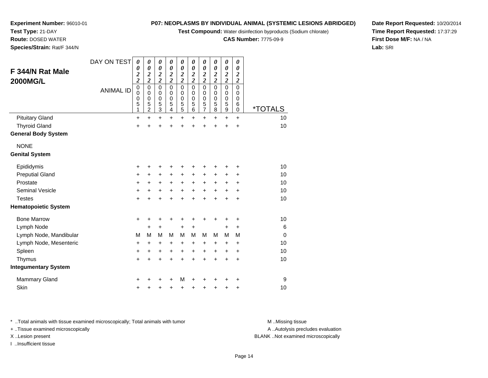**Test Compound:** Water disinfection byproducts (Sodium chlorate)

**CAS Number:** 7775-09-9

**Date Report Requested:** 10/20/2014**Time Report Requested:** 17:37:29**First Dose M/F:** NA / NA**Lab:** SRI

**Experiment Number:** 96010-01**Test Type:** 21-DAY **Route:** DOSED WATER**Species/Strain:** Rat/F 344/N

| F 344/N Rat Male<br><b>2000MG/L</b> | DAY ON TEST<br><b>ANIMAL ID</b> | 0<br>0<br>$\boldsymbol{2}$<br>$\overline{\mathbf{c}}$<br>$\mathbf 0$<br>0<br>0<br>5 | 0<br>0<br>$\boldsymbol{2}$<br>$\overline{2}$<br>$\mathbf 0$<br>0<br>$\mathbf 0$<br>5 | 0<br>0<br>$\boldsymbol{2}$<br>$\overline{\mathbf{c}}$<br>$\mathbf 0$<br>0<br>$\mathbf 0$<br>5 | 0<br>$\boldsymbol{\theta}$<br>$\boldsymbol{2}$<br>$\overline{\mathbf{c}}$<br>$\Omega$<br>0<br>$\pmb{0}$<br>5 | 0<br>$\boldsymbol{\theta}$<br>$\overline{\mathbf{c}}$<br>$\overline{2}$<br>$\mathbf 0$<br>0<br>$\mathbf 0$ | 0<br>0<br>$\overline{\mathbf{c}}$<br>$\overline{2}$<br>$\mathbf 0$<br>0<br>$\mathbf 0$<br>5 | 0<br>$\boldsymbol{\theta}$<br>$\overline{\mathbf{c}}$<br>$\overline{2}$<br>$\mathbf 0$<br>0<br>0 | 0<br>0<br>$\boldsymbol{2}$<br>$\overline{2}$<br>$\Omega$<br>$\Omega$<br>0<br>5 | 0<br>$\boldsymbol{\theta}$<br>$\boldsymbol{2}$<br>$\overline{\mathbf{c}}$<br>$\mathbf 0$<br>$\mathbf 0$<br>$\mathbf 0$<br>5 | 0<br>$\boldsymbol{\theta}$<br>$\boldsymbol{2}$<br>$\overline{\mathbf{c}}$<br>$\Omega$<br>0<br>$\mathbf 0$<br>6 |                       |
|-------------------------------------|---------------------------------|-------------------------------------------------------------------------------------|--------------------------------------------------------------------------------------|-----------------------------------------------------------------------------------------------|--------------------------------------------------------------------------------------------------------------|------------------------------------------------------------------------------------------------------------|---------------------------------------------------------------------------------------------|--------------------------------------------------------------------------------------------------|--------------------------------------------------------------------------------|-----------------------------------------------------------------------------------------------------------------------------|----------------------------------------------------------------------------------------------------------------|-----------------------|
|                                     |                                 | 1                                                                                   | $\overline{2}$                                                                       | $\overline{3}$                                                                                | 4                                                                                                            | $\frac{5}{5}$                                                                                              | 6                                                                                           | $\frac{5}{7}$                                                                                    | 8                                                                              | $\boldsymbol{9}$                                                                                                            | $\mathbf 0$                                                                                                    | <i><b>*TOTALS</b></i> |
| <b>Pituitary Gland</b>              |                                 | +                                                                                   | +                                                                                    | $\ddot{}$                                                                                     | +                                                                                                            | $\ddot{}$                                                                                                  | $\pm$                                                                                       | +                                                                                                | +                                                                              | $\ddot{}$                                                                                                                   | $\ddot{}$                                                                                                      | 10                    |
| <b>Thyroid Gland</b>                |                                 | $\ddot{}$                                                                           | +                                                                                    | $\ddot{}$                                                                                     | ÷                                                                                                            | $\ddot{}$                                                                                                  | $\ddot{}$                                                                                   | $\ddot{}$                                                                                        | +                                                                              | $\ddot{}$                                                                                                                   | $\ddot{}$                                                                                                      | 10                    |
| <b>General Body System</b>          |                                 |                                                                                     |                                                                                      |                                                                                               |                                                                                                              |                                                                                                            |                                                                                             |                                                                                                  |                                                                                |                                                                                                                             |                                                                                                                |                       |
| <b>NONE</b>                         |                                 |                                                                                     |                                                                                      |                                                                                               |                                                                                                              |                                                                                                            |                                                                                             |                                                                                                  |                                                                                |                                                                                                                             |                                                                                                                |                       |
| <b>Genital System</b>               |                                 |                                                                                     |                                                                                      |                                                                                               |                                                                                                              |                                                                                                            |                                                                                             |                                                                                                  |                                                                                |                                                                                                                             |                                                                                                                |                       |
| Epididymis                          |                                 | +                                                                                   | +                                                                                    | +                                                                                             | ٠                                                                                                            | +                                                                                                          |                                                                                             | +                                                                                                |                                                                                | +                                                                                                                           | +                                                                                                              | 10                    |
| <b>Preputial Gland</b>              |                                 | +                                                                                   | +                                                                                    | +                                                                                             | +                                                                                                            | $\ddot{}$                                                                                                  | +                                                                                           | +                                                                                                | +                                                                              | +                                                                                                                           | +                                                                                                              | 10                    |
| Prostate                            |                                 | $\ddot{}$                                                                           | +                                                                                    | +                                                                                             | $\ddot{}$                                                                                                    | $\ddot{}$                                                                                                  | $\ddot{}$                                                                                   | +                                                                                                | $\ddot{}$                                                                      | $\ddot{}$                                                                                                                   | $\ddot{}$                                                                                                      | 10                    |
| <b>Seminal Vesicle</b>              |                                 | +                                                                                   | $\pm$                                                                                | +                                                                                             | +                                                                                                            | $\ddot{}$                                                                                                  | $+$                                                                                         | $+$                                                                                              | $+$                                                                            | $\ddot{}$                                                                                                                   | $\ddot{}$                                                                                                      | 10                    |
| <b>Testes</b>                       |                                 | $\ddot{}$                                                                           |                                                                                      | $\ddot{}$                                                                                     | ÷                                                                                                            | $\ddot{}$                                                                                                  | ÷                                                                                           | $\ddot{}$                                                                                        | ÷                                                                              | $\ddot{}$                                                                                                                   | $\ddot{}$                                                                                                      | 10                    |
| <b>Hematopoietic System</b>         |                                 |                                                                                     |                                                                                      |                                                                                               |                                                                                                              |                                                                                                            |                                                                                             |                                                                                                  |                                                                                |                                                                                                                             |                                                                                                                |                       |
| <b>Bone Marrow</b>                  |                                 | +                                                                                   | +                                                                                    | +                                                                                             | +                                                                                                            | +                                                                                                          | +                                                                                           | +                                                                                                | ٠                                                                              | +                                                                                                                           | +                                                                                                              | 10                    |
| Lymph Node                          |                                 |                                                                                     | +                                                                                    | $\ddot{}$                                                                                     |                                                                                                              | $\ddot{}$                                                                                                  | $\pm$                                                                                       |                                                                                                  |                                                                                | +                                                                                                                           | $\ddot{}$                                                                                                      | 6                     |
| Lymph Node, Mandibular              |                                 | M                                                                                   | M                                                                                    | M                                                                                             | м                                                                                                            | М                                                                                                          | м                                                                                           | М                                                                                                | M                                                                              | M                                                                                                                           | M                                                                                                              | $\mathbf 0$           |
| Lymph Node, Mesenteric              |                                 | +                                                                                   | +                                                                                    | +                                                                                             | +                                                                                                            | +                                                                                                          | +                                                                                           | +                                                                                                | +                                                                              | +                                                                                                                           | +                                                                                                              | 10                    |
| Spleen                              |                                 | $\ddot{}$                                                                           | +                                                                                    | +                                                                                             | $\ddot{}$                                                                                                    | +                                                                                                          | $\ddot{}$                                                                                   | +                                                                                                | $\ddot{}$                                                                      | +                                                                                                                           | +                                                                                                              | 10                    |
| Thymus                              |                                 | $\pm$                                                                               | +                                                                                    | $\ddot{}$                                                                                     | +                                                                                                            | $\ddot{}$                                                                                                  | +                                                                                           | +                                                                                                | +                                                                              | +                                                                                                                           | $\ddot{}$                                                                                                      | 10                    |
| <b>Integumentary System</b>         |                                 |                                                                                     |                                                                                      |                                                                                               |                                                                                                              |                                                                                                            |                                                                                             |                                                                                                  |                                                                                |                                                                                                                             |                                                                                                                |                       |
| <b>Mammary Gland</b>                |                                 | ٠                                                                                   |                                                                                      | +                                                                                             | ٠                                                                                                            | M                                                                                                          | +                                                                                           | +                                                                                                |                                                                                |                                                                                                                             | +                                                                                                              | 9                     |
| Skin                                |                                 | +                                                                                   | +                                                                                    | +                                                                                             | +                                                                                                            | +                                                                                                          | +                                                                                           | +                                                                                                | ٠                                                                              | +                                                                                                                           | +                                                                                                              | 10                    |

\* ..Total animals with tissue examined microscopically; Total animals with tumor **M** . Missing tissue M ..Missing tissue

+ ..Tissue examined microscopically

I ..Insufficient tissue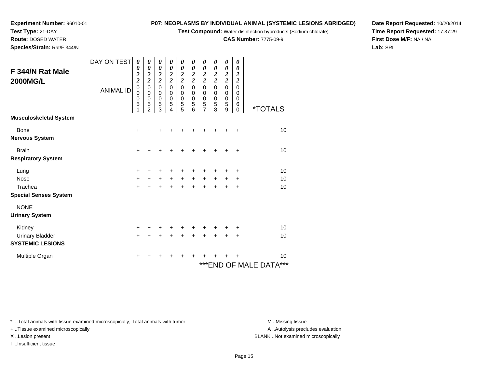**Test Compound:** Water disinfection byproducts (Sodium chlorate)

**CAS Number:** 7775-09-9

**Date Report Requested:** 10/20/2014**Time Report Requested:** 17:37:29**First Dose M/F:** NA / NA**Lab:** SRI

**Experiment Number:** 96010-01**Test Type:** 21-DAY**Route:** DOSED WATER

**Species/Strain:** Rat/F 344/N

| F 344/N Rat Male<br><b>2000MG/L</b> | DAY ON TEST      | 0<br>0<br>$\overline{\mathbf{c}}$<br>$\overline{\mathbf{c}}$<br>$\mathbf 0$ | 0<br>$\boldsymbol{\theta}$<br>$\overline{\mathbf{c}}$<br>$\overline{\mathbf{c}}$<br>0 | 0<br>$\boldsymbol{\theta}$<br>$\overline{\mathbf{c}}$<br>$\overline{2}$<br>$\mathbf 0$ | 0<br>$\boldsymbol{\theta}$<br>$\boldsymbol{2}$<br>$\overline{\mathbf{c}}$<br>$\mathbf 0$ | 0<br>0<br>$\frac{2}{2}$<br>$\mathbf 0$ | 0<br>$\boldsymbol{\theta}$<br>$\overline{\mathbf{c}}$<br>$\overline{2}$<br>$\mathbf 0$ | 0<br>$\boldsymbol{\theta}$<br>$\overline{\mathbf{c}}$<br>$\overline{2}$<br>$\mathbf 0$ | 0<br>$\boldsymbol{\theta}$<br>$\overline{\mathbf{c}}$<br>$\overline{2}$<br>$\mathbf 0$ | 0<br>$\boldsymbol{\theta}$<br>$\boldsymbol{2}$<br>$\overline{2}$<br>$\mathbf 0$ | 0<br>$\boldsymbol{\theta}$<br>$\overline{2}$<br>$\overline{2}$<br>$\mathbf 0$ |                             |
|-------------------------------------|------------------|-----------------------------------------------------------------------------|---------------------------------------------------------------------------------------|----------------------------------------------------------------------------------------|------------------------------------------------------------------------------------------|----------------------------------------|----------------------------------------------------------------------------------------|----------------------------------------------------------------------------------------|----------------------------------------------------------------------------------------|---------------------------------------------------------------------------------|-------------------------------------------------------------------------------|-----------------------------|
|                                     | <b>ANIMAL ID</b> | $\mathbf 0$<br>0<br>5                                                       | 0<br>$\pmb{0}$<br>5<br>$\mathfrak{p}$                                                 | 0<br>$\boldsymbol{0}$<br>5<br>3                                                        | 0<br>$\pmb{0}$<br>5<br>4                                                                 | 0<br>0<br>$\frac{5}{5}$                | 0<br>$\mathbf 0$<br>5<br>6                                                             | 0<br>$\mathbf 0$<br>5<br>7                                                             | 0<br>$\mathbf 0$<br>5<br>8                                                             | 0<br>$\pmb{0}$<br>5<br>9                                                        | 0<br>0<br>6<br>$\Omega$                                                       | <i><b>*TOTALS</b></i>       |
| <b>Musculoskeletal System</b>       |                  |                                                                             |                                                                                       |                                                                                        |                                                                                          |                                        |                                                                                        |                                                                                        |                                                                                        |                                                                                 |                                                                               |                             |
| <b>Bone</b>                         |                  | $\ddot{}$                                                                   | +                                                                                     | +                                                                                      |                                                                                          |                                        |                                                                                        |                                                                                        |                                                                                        |                                                                                 | $\ddot{}$                                                                     | 10                          |
| <b>Nervous System</b>               |                  |                                                                             |                                                                                       |                                                                                        |                                                                                          |                                        |                                                                                        |                                                                                        |                                                                                        |                                                                                 |                                                                               |                             |
| <b>Brain</b>                        |                  | $\ddot{}$                                                                   | +                                                                                     | +                                                                                      | +                                                                                        | ٠                                      | ٠                                                                                      | +                                                                                      | +                                                                                      |                                                                                 | $\ddot{}$                                                                     | 10                          |
| <b>Respiratory System</b>           |                  |                                                                             |                                                                                       |                                                                                        |                                                                                          |                                        |                                                                                        |                                                                                        |                                                                                        |                                                                                 |                                                                               |                             |
| Lung                                |                  | $\pm$                                                                       | +                                                                                     | +                                                                                      |                                                                                          | +                                      |                                                                                        | +                                                                                      |                                                                                        |                                                                                 | ÷                                                                             | 10                          |
| <b>Nose</b>                         |                  | $\ddot{}$                                                                   | $\ddot{}$                                                                             | $\ddot{}$                                                                              | $+$                                                                                      | $+$                                    | $\ddot{}$                                                                              | +                                                                                      | $+$                                                                                    | $\pm$                                                                           | $\ddot{}$                                                                     | 10                          |
| Trachea                             |                  | $+$                                                                         | $\ddot{}$                                                                             | $\ddot{}$                                                                              | $\ddot{}$                                                                                | $+$                                    | $\ddot{}$                                                                              | $\ddot{}$                                                                              | $\ddot{}$                                                                              | $\ddot{}$                                                                       | $\ddot{}$                                                                     | 10                          |
| <b>Special Senses System</b>        |                  |                                                                             |                                                                                       |                                                                                        |                                                                                          |                                        |                                                                                        |                                                                                        |                                                                                        |                                                                                 |                                                                               |                             |
| <b>NONE</b>                         |                  |                                                                             |                                                                                       |                                                                                        |                                                                                          |                                        |                                                                                        |                                                                                        |                                                                                        |                                                                                 |                                                                               |                             |
| <b>Urinary System</b>               |                  |                                                                             |                                                                                       |                                                                                        |                                                                                          |                                        |                                                                                        |                                                                                        |                                                                                        |                                                                                 |                                                                               |                             |
| Kidney                              |                  | +                                                                           |                                                                                       |                                                                                        |                                                                                          |                                        |                                                                                        |                                                                                        |                                                                                        |                                                                                 | ÷                                                                             | 10                          |
| <b>Urinary Bladder</b>              |                  | $\ddot{}$                                                                   | +                                                                                     | $\ddot{}$                                                                              |                                                                                          | $\ddot{}$                              |                                                                                        | ÷                                                                                      |                                                                                        | $\ddot{}$                                                                       | $\div$                                                                        | 10                          |
| <b>SYSTEMIC LESIONS</b>             |                  |                                                                             |                                                                                       |                                                                                        |                                                                                          |                                        |                                                                                        |                                                                                        |                                                                                        |                                                                                 |                                                                               |                             |
| Multiple Organ                      |                  | +                                                                           |                                                                                       |                                                                                        |                                                                                          |                                        |                                                                                        |                                                                                        |                                                                                        |                                                                                 |                                                                               | 10                          |
|                                     |                  |                                                                             |                                                                                       |                                                                                        |                                                                                          |                                        |                                                                                        |                                                                                        |                                                                                        |                                                                                 |                                                                               | ***<br>***END OF MALE DATA® |

\* ..Total animals with tissue examined microscopically; Total animals with tumor **M** . Missing tissue M ..Missing tissue

+ ..Tissue examined microscopically

I ..Insufficient tissue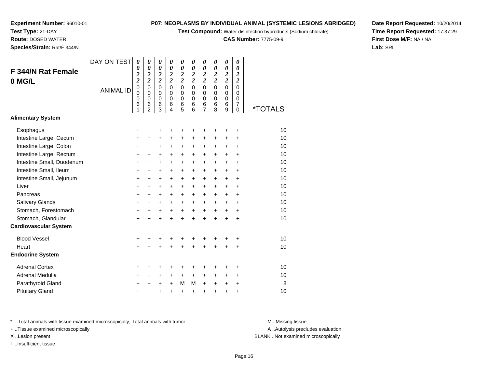**Test Compound:** Water disinfection byproducts (Sodium chlorate)

**CAS Number:** 7775-09-9

**Date Report Requested:** 10/20/2014**Time Report Requested:** 17:37:29**First Dose M/F:** NA / NA**Lab:** SRI

**Experiment Number:** 96010-01**Test Type:** 21-DAY **Route:** DOSED WATER**Species/Strain:** Rat/F 344/N

|                              | DAY ON TEST      | $\boldsymbol{\theta}$        | 0                            | $\boldsymbol{\theta}$                     | $\boldsymbol{\theta}$         | $\boldsymbol{\theta}$      | $\boldsymbol{\theta}$                     | 0                          | $\boldsymbol{\theta}$                     | 0                                         | 0                     |                       |
|------------------------------|------------------|------------------------------|------------------------------|-------------------------------------------|-------------------------------|----------------------------|-------------------------------------------|----------------------------|-------------------------------------------|-------------------------------------------|-----------------------|-----------------------|
| F 344/N Rat Female           |                  | 0<br>$\overline{\mathbf{c}}$ | 0<br>$\overline{\mathbf{c}}$ | $\boldsymbol{\theta}$<br>$\boldsymbol{2}$ | 0<br>$\boldsymbol{2}$         | 0<br>$\overline{2}$        | $\boldsymbol{\theta}$<br>$\boldsymbol{2}$ | 0<br>$\boldsymbol{2}$      | $\boldsymbol{\theta}$<br>$\boldsymbol{2}$ | $\boldsymbol{\theta}$<br>$\boldsymbol{2}$ | 0<br>$\boldsymbol{2}$ |                       |
| 0 MG/L                       |                  | $\overline{\mathbf{c}}$      | $\overline{\mathbf{c}}$      | $\overline{\mathbf{c}}$                   | $\overline{c}$                | $\overline{\mathbf{c}}$    | $\overline{\mathbf{c}}$                   | $\overline{c}$             | $\overline{c}$                            | $\overline{\mathbf{c}}$                   | $\overline{c}$        |                       |
|                              | <b>ANIMAL ID</b> | 0<br>0                       | 0<br>$\Omega$                | $\mathbf 0$<br>$\mathbf 0$                | $\overline{0}$<br>$\mathbf 0$ | $\mathbf 0$<br>$\mathbf 0$ | $\overline{0}$<br>0                       | $\mathbf 0$<br>$\mathbf 0$ | $\Omega$<br>0                             | $\Omega$<br>$\Omega$                      | $\mathbf 0$<br>0      |                       |
|                              |                  | 0                            | 0                            | $\mathbf 0$                               | $\mathbf 0$                   | $\mathbf 0$                | $\mathbf 0$                               | $\mathbf 0$                | $\mathbf 0$                               | $\mathbf 0$                               | $\mathbf 0$           |                       |
|                              |                  | 6<br>1                       | 6<br>$\overline{2}$          | 6<br>3                                    | 6<br>4                        | 6<br>5                     | $\,6$<br>6                                | 6<br>7                     | 6<br>8                                    | 6<br>9                                    | $\overline{7}$<br>0   | <i><b>*TOTALS</b></i> |
| <b>Alimentary System</b>     |                  |                              |                              |                                           |                               |                            |                                           |                            |                                           |                                           |                       |                       |
| Esophagus                    |                  | $\ddot{}$                    | +                            | +                                         | +                             | +                          | +                                         | +                          | +                                         | +                                         | +                     | 10                    |
| Intestine Large, Cecum       |                  | $\ddot{}$                    | $\ddot{}$                    | +                                         | +                             | +                          | $\ddot{}$                                 | $\ddot{}$                  | $\ddot{}$                                 | $\ddot{}$                                 | +                     | 10                    |
| Intestine Large, Colon       |                  | +                            | $\ddot{}$                    | $\ddot{}$                                 | $\ddot{}$                     | +                          | $\ddot{}$                                 | +                          | $\ddot{}$                                 | +                                         | +                     | 10                    |
| Intestine Large, Rectum      |                  | $\ddot{}$                    | $\ddot{}$                    | $\ddot{}$                                 | $\ddot{}$                     | $\ddot{}$                  | $\ddot{}$                                 | $\ddot{}$                  | $\ddot{}$                                 | $\ddot{}$                                 | $\ddot{}$             | 10                    |
| Intestine Small, Duodenum    |                  | $\ddot{}$                    | $\ddot{}$                    | $\ddot{}$                                 | $\ddot{}$                     | $\ddot{}$                  | $\ddot{}$                                 | +                          | $\ddot{}$                                 | $\ddot{}$                                 | $\ddot{}$             | 10                    |
| Intestine Small, Ileum       |                  | $\ddot{}$                    | $\ddot{}$                    | +                                         | $\ddot{}$                     | $\ddot{}$                  | $\ddot{}$                                 | +                          | $\ddot{}$                                 | $\ddot{}$                                 | +                     | 10                    |
| Intestine Small, Jejunum     |                  | +                            | $\ddot{}$                    | $\ddot{}$                                 | $\ddot{}$                     | +                          | $\ddot{}$                                 | $\ddot{}$                  | $\ddot{}$                                 | +                                         | $\ddot{}$             | 10                    |
| Liver                        |                  | $\ddot{}$                    | $\ddot{}$                    | $\ddot{}$                                 | $\ddot{}$                     | $\ddot{}$                  | $\ddot{}$                                 | +                          | $\ddot{}$                                 | $\ddot{}$                                 | +                     | 10                    |
| Pancreas                     |                  | $\ddot{}$                    | $\ddot{}$                    | $\ddot{}$                                 | $\ddot{}$                     | $\ddot{}$                  | $\ddot{}$                                 | $\ddot{}$                  | $\ddot{}$                                 | $+$                                       | $\ddot{}$             | 10                    |
| Salivary Glands              |                  | +                            | $\ddot{}$                    | +                                         | $\ddot{}$                     | $\ddot{}$                  | $\ddot{}$                                 | +                          | $\ddot{}$                                 | +                                         | +                     | 10                    |
| Stomach, Forestomach         |                  | +                            | $\ddot{}$                    | $\ddot{}$                                 | $\ddot{}$                     | $\ddot{}$                  | $\ddot{}$                                 | $\ddot{}$                  | $\ddot{}$                                 | $\ddot{}$                                 | $\ddot{}$             | 10                    |
| Stomach, Glandular           |                  | $+$                          | $\ddot{}$                    | $\ddot{}$                                 | $\ddot{}$                     | $\ddot{}$                  | $\ddot{}$                                 | $\ddot{}$                  | $\ddot{}$                                 | $\ddot{}$                                 | $\ddot{}$             | 10                    |
| <b>Cardiovascular System</b> |                  |                              |                              |                                           |                               |                            |                                           |                            |                                           |                                           |                       |                       |
| <b>Blood Vessel</b>          |                  | +                            |                              |                                           |                               | +                          | +                                         | +                          | +                                         |                                           | +                     | 10                    |
| Heart                        |                  | $\ddot{}$                    |                              | $\ddot{}$                                 | $\ddot{}$                     | $\ddot{}$                  | $\ddot{}$                                 | $\ddot{}$                  | $\ddot{}$                                 | $\ddot{}$                                 | +                     | 10                    |
| <b>Endocrine System</b>      |                  |                              |                              |                                           |                               |                            |                                           |                            |                                           |                                           |                       |                       |
| <b>Adrenal Cortex</b>        |                  | $\pm$                        | +                            |                                           |                               | +                          | +                                         | +                          | +                                         |                                           | +                     | 10                    |
| Adrenal Medulla              |                  | +                            | +                            | +                                         | +                             | $\ddot{}$                  | $\ddot{}$                                 | +                          | $\ddot{}$                                 | $\ddot{}$                                 | +                     | 10                    |
| Parathyroid Gland            |                  | $\ddot{}$                    | $\ddot{}$                    | $\ddot{}$                                 | $\ddot{}$                     | M                          | M                                         | +                          | $\ddot{}$                                 | $\ddot{}$                                 | $\ddot{}$             | 8                     |
| <b>Pituitary Gland</b>       |                  | +                            | +                            | +                                         | +                             | $\ddot{}$                  | $\ddot{}$                                 | +                          | +                                         | +                                         | +                     | 10                    |

\* ..Total animals with tissue examined microscopically; Total animals with tumor **M** . Missing tissue M ..Missing tissue

+ ..Tissue examined microscopically

I ..Insufficient tissue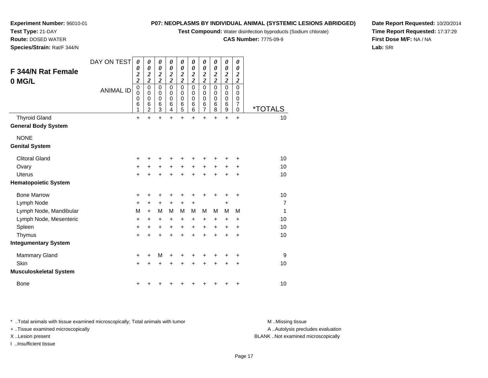**Test Compound:** Water disinfection byproducts (Sodium chlorate)

**CAS Number:** 7775-09-9

**Date Report Requested:** 10/20/2014**Time Report Requested:** 17:37:29**First Dose M/F:** NA / NA**Lab:** SRI

|                               | DAY ON TEST      | 0<br>0                                                               | 0<br>0                                                                          | 0<br>0                                                                  | 0<br>0                                                             | 0<br>0                                                      | 0<br>0                                                    | 0<br>0                                                                  | 0<br>0                                                      | 0<br>0                                    | 0<br>0                                                                         |                       |
|-------------------------------|------------------|----------------------------------------------------------------------|---------------------------------------------------------------------------------|-------------------------------------------------------------------------|--------------------------------------------------------------------|-------------------------------------------------------------|-----------------------------------------------------------|-------------------------------------------------------------------------|-------------------------------------------------------------|-------------------------------------------|--------------------------------------------------------------------------------|-----------------------|
| <b>F 344/N Rat Female</b>     |                  | $\overline{\mathbf{c}}$                                              | $\overline{\mathbf{c}}$                                                         | $\overline{2}$                                                          | $\boldsymbol{2}$                                                   | $\overline{2}$                                              | $\frac{2}{2}$                                             | $\boldsymbol{2}$                                                        | $\boldsymbol{2}$                                            | $\frac{2}{2}$                             | $\boldsymbol{2}$                                                               |                       |
| 0 MG/L                        | <b>ANIMAL ID</b> | $\overline{\mathbf{c}}$<br>$\mathbf 0$<br>$\mathbf 0$<br>0<br>6<br>1 | $\overline{\mathbf{c}}$<br>$\pmb{0}$<br>0<br>$\mathbf 0$<br>6<br>$\overline{2}$ | $\overline{\mathbf{c}}$<br>$\overline{0}$<br>0<br>$\mathbf 0$<br>6<br>3 | $\overline{2}$<br>$\overline{0}$<br>0<br>$\mathbf 0$<br>$\,6$<br>4 | $\overline{2}$<br>$\mathbf 0$<br>0<br>$\mathbf 0$<br>6<br>5 | $\overline{0}$<br>0<br>$\mathbf 0$<br>6<br>$\overline{6}$ | $\overline{\mathbf{c}}$<br>$\mathbf 0$<br>0<br>0<br>6<br>$\overline{7}$ | $\overline{2}$<br>$\mathbf 0$<br>0<br>$\mathbf 0$<br>6<br>8 | $\mathbf 0$<br>0<br>$\mathbf 0$<br>6<br>9 | $\overline{\mathbf{c}}$<br>$\mathbf 0$<br>0<br>$\mathbf 0$<br>7<br>$\mathbf 0$ | <i><b>*TOTALS</b></i> |
| <b>Thyroid Gland</b>          |                  | $\ddot{}$                                                            | $\ddot{}$                                                                       | $\ddot{}$                                                               | $\ddot{}$                                                          | $\ddot{}$                                                   | $\ddot{}$                                                 | $\ddot{}$                                                               | $\ddot{}$                                                   | $\ddot{}$                                 | $\ddot{}$                                                                      | 10                    |
| <b>General Body System</b>    |                  |                                                                      |                                                                                 |                                                                         |                                                                    |                                                             |                                                           |                                                                         |                                                             |                                           |                                                                                |                       |
| <b>NONE</b>                   |                  |                                                                      |                                                                                 |                                                                         |                                                                    |                                                             |                                                           |                                                                         |                                                             |                                           |                                                                                |                       |
| <b>Genital System</b>         |                  |                                                                      |                                                                                 |                                                                         |                                                                    |                                                             |                                                           |                                                                         |                                                             |                                           |                                                                                |                       |
| <b>Clitoral Gland</b>         |                  | +                                                                    |                                                                                 |                                                                         | ٠                                                                  | +                                                           | +                                                         | +                                                                       | ٠                                                           |                                           | +                                                                              | 10                    |
| Ovary                         |                  | $\ddot{}$                                                            | +                                                                               | +                                                                       | +                                                                  | +                                                           | $\ddot{}$                                                 | +                                                                       | +                                                           | +                                         | +                                                                              | 10                    |
| <b>Uterus</b>                 |                  | $\ddot{}$                                                            |                                                                                 | $\ddot{}$                                                               | $\ddot{}$                                                          | $\ddot{}$                                                   | $\ddot{}$                                                 | $\ddot{}$                                                               | $\ddot{}$                                                   | $\ddot{}$                                 | $\ddot{}$                                                                      | 10                    |
| <b>Hematopoietic System</b>   |                  |                                                                      |                                                                                 |                                                                         |                                                                    |                                                             |                                                           |                                                                         |                                                             |                                           |                                                                                |                       |
| <b>Bone Marrow</b>            |                  | +                                                                    |                                                                                 | +                                                                       | +                                                                  | +                                                           | +                                                         | +                                                                       | +                                                           | +                                         | +                                                                              | 10                    |
| Lymph Node                    |                  | +                                                                    | +                                                                               | $\pm$                                                                   | $\ddot{}$                                                          | $\ddot{}$                                                   | $\ddot{}$                                                 |                                                                         |                                                             | +                                         |                                                                                | 7                     |
| Lymph Node, Mandibular        |                  | М                                                                    | $\ddot{}$                                                                       | M                                                                       | M                                                                  | M                                                           | M                                                         | м                                                                       | M                                                           | M                                         | M                                                                              | 1                     |
| Lymph Node, Mesenteric        |                  | +                                                                    | $\ddot{}$                                                                       | +                                                                       | +                                                                  | $\ddot{}$                                                   | $\ddot{}$                                                 | +                                                                       | +                                                           | +                                         | +                                                                              | 10                    |
| Spleen                        |                  | $\ddot{}$                                                            | +                                                                               | +                                                                       | +                                                                  | $\ddot{}$                                                   | +                                                         | +                                                                       | +                                                           | +                                         | +                                                                              | 10                    |
| Thymus                        |                  | $\ddot{}$                                                            | +                                                                               | +                                                                       | $\ddot{}$                                                          | $\ddot{}$                                                   | $\ddot{}$                                                 | $\ddot{}$                                                               | $\ddot{}$                                                   | ÷                                         | $\ddot{}$                                                                      | 10                    |
| <b>Integumentary System</b>   |                  |                                                                      |                                                                                 |                                                                         |                                                                    |                                                             |                                                           |                                                                         |                                                             |                                           |                                                                                |                       |
| <b>Mammary Gland</b>          |                  | $\ddot{}$                                                            |                                                                                 | M                                                                       | +                                                                  | +                                                           | +                                                         | +                                                                       | +                                                           |                                           | +                                                                              | 9                     |
| <b>Skin</b>                   |                  | $\ddot{}$                                                            |                                                                                 | $\ddot{}$                                                               | +                                                                  | +                                                           | $\ddot{}$                                                 | $\ddot{}$                                                               | +                                                           | +                                         | +                                                                              | 10                    |
| <b>Musculoskeletal System</b> |                  |                                                                      |                                                                                 |                                                                         |                                                                    |                                                             |                                                           |                                                                         |                                                             |                                           |                                                                                |                       |
| <b>Bone</b>                   |                  |                                                                      |                                                                                 |                                                                         |                                                                    |                                                             |                                                           |                                                                         |                                                             |                                           | +                                                                              | 10                    |

\* ..Total animals with tissue examined microscopically; Total animals with tumor **M** . Missing tissue M ..Missing tissue

+ ..Tissue examined microscopically

I ..Insufficient tissue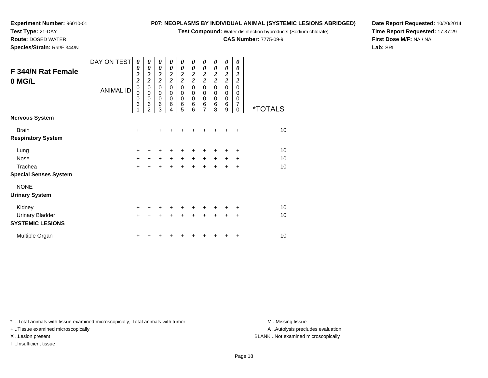**Test Compound:** Water disinfection byproducts (Sodium chlorate)

**CAS Number:** 7775-09-9

**Date Report Requested:** 10/20/2014**Time Report Requested:** 17:37:29**First Dose M/F:** NA / NA**Lab:** SRI

**Test Type:** 21-DAY**Route:** DOSED WATER

**Experiment Number:** 96010-01

**Species/Strain:** Rat/F 344/N

|                              | DAY ON TEST      | 0                            | 0                            | 0                                                | $\boldsymbol{\theta}$                            | 0                                         | 0                                                | 0                   | 0                                                | $\boldsymbol{\theta}$                            | 0                            |                       |
|------------------------------|------------------|------------------------------|------------------------------|--------------------------------------------------|--------------------------------------------------|-------------------------------------------|--------------------------------------------------|---------------------|--------------------------------------------------|--------------------------------------------------|------------------------------|-----------------------|
| <b>F 344/N Rat Female</b>    |                  | 0<br>$\overline{\mathbf{c}}$ | 0<br>$\overline{\mathbf{c}}$ | $\boldsymbol{\theta}$<br>$\overline{\mathbf{c}}$ | $\boldsymbol{\theta}$<br>$\overline{\mathbf{c}}$ | $\boldsymbol{\theta}$<br>$\boldsymbol{2}$ | $\boldsymbol{\theta}$<br>$\overline{\mathbf{c}}$ | 0<br>$\overline{2}$ | $\boldsymbol{\theta}$<br>$\overline{\mathbf{c}}$ | $\boldsymbol{\theta}$<br>$\overline{\mathbf{c}}$ | 0<br>$\overline{\mathbf{c}}$ |                       |
| 0 MG/L                       |                  | $\overline{\mathbf{c}}$      | $\overline{\mathbf{c}}$      | $\overline{c}$                                   | $\overline{c}$                                   | $\overline{\mathbf{c}}$                   | $\overline{2}$                                   | $\overline{c}$      | $\overline{\mathbf{c}}$                          | $\overline{\mathbf{c}}$                          | $\boldsymbol{2}$             |                       |
|                              | <b>ANIMAL ID</b> | $\mathbf 0$                  | $\mathbf 0$                  | $\pmb{0}$                                        | $\mathbf 0$                                      | $\pmb{0}$                                 | $\mathbf 0$                                      | $\mathbf 0$         | $\Omega$                                         | $\mathsf 0$                                      | $\mathbf 0$                  |                       |
|                              |                  | 0<br>0                       | $\mathbf 0$<br>0             | $\pmb{0}$<br>$\mathbf 0$                         | $\mathbf 0$<br>$\mathbf 0$                       | 0<br>$\mathbf 0$                          | 0<br>$\mathbf 0$                                 | 0<br>$\pmb{0}$      | 0<br>$\mathbf 0$                                 | $\,0\,$<br>$\mathbf 0$                           | $\mathbf 0$<br>$\mathbf 0$   |                       |
|                              |                  | 6                            | $\,6$                        | $\,6$                                            | $6\phantom{1}6$                                  | 6                                         | $\,6$                                            | $\,6$               | 6                                                | $\,6$                                            | 7                            |                       |
|                              |                  | 1                            | $\overline{2}$               | 3                                                | 4                                                | 5                                         | 6                                                | $\overline{7}$      | 8                                                | 9                                                | $\Omega$                     | <i><b>*TOTALS</b></i> |
| <b>Nervous System</b>        |                  |                              |                              |                                                  |                                                  |                                           |                                                  |                     |                                                  |                                                  |                              |                       |
| <b>Brain</b>                 |                  | $\ddot{}$                    | +                            |                                                  |                                                  |                                           |                                                  |                     |                                                  |                                                  | $\ddot{}$                    | 10                    |
| <b>Respiratory System</b>    |                  |                              |                              |                                                  |                                                  |                                           |                                                  |                     |                                                  |                                                  |                              |                       |
| Lung                         |                  | $\ddot{}$                    | +                            | +                                                | +                                                | +                                         | +                                                | +                   | +                                                | +                                                | +                            | 10                    |
| <b>Nose</b>                  |                  | $\ddot{}$                    | $+$                          | $\ddot{}$                                        | $+$                                              | $+$                                       | $+$                                              | $\ddot{}$           | $+$                                              | $\ddot{}$                                        | $\ddot{}$                    | 10                    |
| Trachea                      |                  | $+$                          | $+$                          | $\ddot{}$                                        | $\ddot{}$                                        | $\ddot{}$                                 | $\ddot{}$                                        | $+$                 | $+$                                              | $\ddot{}$                                        | $\ddot{}$                    | 10                    |
| <b>Special Senses System</b> |                  |                              |                              |                                                  |                                                  |                                           |                                                  |                     |                                                  |                                                  |                              |                       |
| <b>NONE</b>                  |                  |                              |                              |                                                  |                                                  |                                           |                                                  |                     |                                                  |                                                  |                              |                       |
| <b>Urinary System</b>        |                  |                              |                              |                                                  |                                                  |                                           |                                                  |                     |                                                  |                                                  |                              |                       |
| Kidney                       |                  | $\ddot{}$                    | +                            | $\ddot{}$                                        | $\ddot{}$                                        | $\ddot{}$                                 | +                                                | +                   | ٠                                                | ٠                                                | ÷                            | 10                    |
| <b>Urinary Bladder</b>       |                  | $+$                          | $\ddot{}$                    | $\ddot{}$                                        | $\ddot{}$                                        | $+$                                       | $\ddot{}$                                        | $\ddot{}$           | $\ddot{}$                                        | $\ddot{}$                                        | $\ddot{}$                    | 10                    |
| <b>SYSTEMIC LESIONS</b>      |                  |                              |                              |                                                  |                                                  |                                           |                                                  |                     |                                                  |                                                  |                              |                       |
| Multiple Organ               |                  | $\ddot{}$                    |                              |                                                  |                                                  |                                           |                                                  |                     |                                                  |                                                  | $\ddot{}$                    | 10                    |

\* ..Total animals with tissue examined microscopically; Total animals with tumor **M** . Missing tissue M ..Missing tissue

+ ..Tissue examined microscopically

I ..Insufficient tissue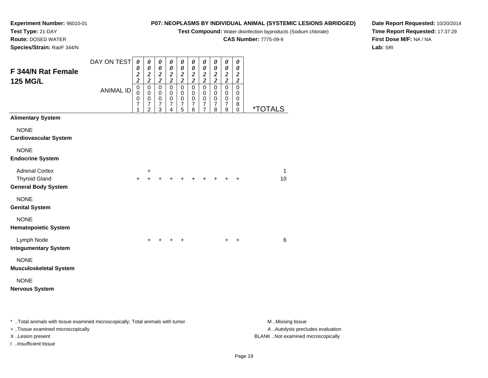**Test Compound:** Water disinfection byproducts (Sodium chlorate)

**CAS Number:** 7775-09-9

**Date Report Requested:** 10/20/2014**Time Report Requested:** 17:37:29**First Dose M/F:** NA / NA**Lab:** SRI

**Experiment Number:** 96010-01**Test Type:** 21-DAY **Route:** DOSED WATER**Species/Strain:** Rat/F 344/N

| F 344/N Rat Female                                                          | DAY ON TEST      | 0<br>0                                                                                 | $\boldsymbol{\theta}$<br>$\pmb{\theta}$                                                   | $\pmb{\theta}$<br>$\boldsymbol{\theta}$                                            | $\boldsymbol{\theta}$<br>$\boldsymbol{\theta}$                                                 | $\boldsymbol{\theta}$<br>$\pmb{\theta}$                                         | 0<br>$\pmb{\theta}$                                                        | $\boldsymbol{\theta}$<br>$\boldsymbol{\theta}$                                       | $\boldsymbol{\theta}$<br>$\boldsymbol{\theta}$                           | 0<br>$\pmb{\theta}$                                                        | 0<br>0<br>$\boldsymbol{2}$                                           |                       |
|-----------------------------------------------------------------------------|------------------|----------------------------------------------------------------------------------------|-------------------------------------------------------------------------------------------|------------------------------------------------------------------------------------|------------------------------------------------------------------------------------------------|---------------------------------------------------------------------------------|----------------------------------------------------------------------------|--------------------------------------------------------------------------------------|--------------------------------------------------------------------------|----------------------------------------------------------------------------|----------------------------------------------------------------------|-----------------------|
| <b>125 MG/L</b>                                                             | <b>ANIMAL ID</b> | $\boldsymbol{2}$<br>$\overline{\mathbf{c}}$<br>$\mathbf 0$<br>0<br>$\pmb{0}$<br>7<br>1 | $\frac{2}{2}$<br>$\mbox{O}$<br>$\pmb{0}$<br>$\pmb{0}$<br>$\overline{7}$<br>$\overline{2}$ | $\frac{2}{2}$<br>$\overline{0}$<br>$\pmb{0}$<br>$\mathbf 0$<br>$\overline{7}$<br>3 | $\frac{2}{2}$<br>$\overline{0}$<br>$\mathbf 0$<br>$\mathbf 0$<br>$\overline{\mathcal{I}}$<br>4 | $\frac{2}{2}$<br>$\mathbf 0$<br>0<br>$\pmb{0}$<br>$\overline{\mathcal{I}}$<br>5 | $\frac{2}{2}$<br>$\overline{0}$<br>0<br>$\pmb{0}$<br>$\boldsymbol{7}$<br>6 | $\frac{2}{2}$<br>$\mathbf 0$<br>0<br>$\pmb{0}$<br>$\boldsymbol{7}$<br>$\overline{7}$ | $\frac{2}{2}$<br>$\overline{0}$<br>0<br>$\pmb{0}$<br>$\overline{7}$<br>8 | $\frac{2}{2}$<br>$\overline{0}$<br>0<br>$\pmb{0}$<br>$\boldsymbol{7}$<br>9 | $\overline{\mathbf{c}}$<br>$\mathsf 0$<br>0<br>0<br>8<br>$\mathbf 0$ | <i><b>*TOTALS</b></i> |
| <b>Alimentary System</b>                                                    |                  |                                                                                        |                                                                                           |                                                                                    |                                                                                                |                                                                                 |                                                                            |                                                                                      |                                                                          |                                                                            |                                                                      |                       |
| <b>NONE</b><br><b>Cardiovascular System</b>                                 |                  |                                                                                        |                                                                                           |                                                                                    |                                                                                                |                                                                                 |                                                                            |                                                                                      |                                                                          |                                                                            |                                                                      |                       |
| <b>NONE</b><br><b>Endocrine System</b>                                      |                  |                                                                                        |                                                                                           |                                                                                    |                                                                                                |                                                                                 |                                                                            |                                                                                      |                                                                          |                                                                            |                                                                      |                       |
| <b>Adrenal Cortex</b><br><b>Thyroid Gland</b><br><b>General Body System</b> |                  | $\ddot{}$                                                                              | +<br>$\ddot{}$                                                                            |                                                                                    | ٠                                                                                              |                                                                                 | $\div$                                                                     | ÷                                                                                    | +                                                                        |                                                                            | $\div$                                                               | 1<br>10               |
| <b>NONE</b><br><b>Genital System</b>                                        |                  |                                                                                        |                                                                                           |                                                                                    |                                                                                                |                                                                                 |                                                                            |                                                                                      |                                                                          |                                                                            |                                                                      |                       |
| <b>NONE</b><br><b>Hematopoietic System</b>                                  |                  |                                                                                        |                                                                                           |                                                                                    |                                                                                                |                                                                                 |                                                                            |                                                                                      |                                                                          |                                                                            |                                                                      |                       |
| Lymph Node<br><b>Integumentary System</b>                                   |                  |                                                                                        | $\ddot{}$                                                                                 |                                                                                    | $+$                                                                                            | $\ddot{}$                                                                       |                                                                            |                                                                                      |                                                                          | $+$                                                                        | $\ddot{}$                                                            | $6\phantom{1}6$       |
| <b>NONE</b><br><b>Musculoskeletal System</b>                                |                  |                                                                                        |                                                                                           |                                                                                    |                                                                                                |                                                                                 |                                                                            |                                                                                      |                                                                          |                                                                            |                                                                      |                       |
| <b>NONE</b><br><b>Nervous System</b>                                        |                  |                                                                                        |                                                                                           |                                                                                    |                                                                                                |                                                                                 |                                                                            |                                                                                      |                                                                          |                                                                            |                                                                      |                       |

\* ..Total animals with tissue examined microscopically; Total animals with tumor **M** . Missing tissue M ..Missing tissue + ..Tissue examined microscopically X ..Lesion present BLANK ..Not examined microscopically

I ..Insufficient tissue

A ..Autolysis precludes evaluation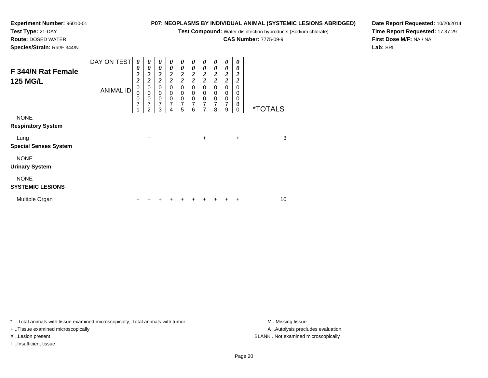**Test Compound:** Water disinfection byproducts (Sodium chlorate)

**CAS Number:** 7775-09-9

**Date Report Requested:** 10/20/2014**Time Report Requested:** 17:37:29**First Dose M/F:** NA / NA**Lab:** SRI

**Test Type:** 21-DAY **Route:** DOSED WATER**Species/Strain:** Rat/F 344/N

**Experiment Number:** 96010-01

| F 344/N Rat Female<br><b>125 MG/L</b>    | DAY ON TEST<br><b>ANIMAL ID</b> | 0<br>0<br>$\frac{2}{2}$<br>$\boldsymbol{0}$<br>$\overline{0}$<br>$\frac{0}{7}$ | 0<br>0<br>$\boldsymbol{2}$<br>$\overline{\mathbf{c}}$<br>0<br>$\mathbf 0$<br>0<br>7 | 0<br>0<br>$\frac{2}{2}$<br>0<br>$\mathbf 0$<br>$\mathbf 0$<br>7 | 0<br>0<br>$\boldsymbol{2}$<br>$\overline{c}$<br>0<br>0<br>0<br>7 | 0<br>0<br>$\frac{2}{2}$<br>0<br>$\mathbf 0$<br>0<br>7 | $\boldsymbol{\theta}$<br>0<br>$\boldsymbol{2}$<br>$\overline{2}$<br>$\Omega$<br>0<br>0<br>7 | 0<br>0<br>$\frac{2}{2}$<br>0<br>0<br>0<br>$\overline{7}$ | 0<br>0<br>$\boldsymbol{2}$<br>$\overline{\mathbf{c}}$<br>$\Omega$<br>0<br>0<br>$\overline{7}$ | 0<br>$\boldsymbol{\theta}$<br>$\frac{2}{2}$<br>$\mathbf 0$<br>$\,0\,$<br>$\frac{0}{7}$ | 0<br>0<br>2<br>$\boldsymbol{2}$<br>0<br>0<br>0<br>8 |                       |
|------------------------------------------|---------------------------------|--------------------------------------------------------------------------------|-------------------------------------------------------------------------------------|-----------------------------------------------------------------|------------------------------------------------------------------|-------------------------------------------------------|---------------------------------------------------------------------------------------------|----------------------------------------------------------|-----------------------------------------------------------------------------------------------|----------------------------------------------------------------------------------------|-----------------------------------------------------|-----------------------|
|                                          |                                 |                                                                                | $\overline{2}$                                                                      | 3                                                               | 4                                                                | 5                                                     | 6                                                                                           | 7                                                        | 8                                                                                             | 9                                                                                      | $\Omega$                                            | <i><b>*TOTALS</b></i> |
| <b>NONE</b><br><b>Respiratory System</b> |                                 |                                                                                |                                                                                     |                                                                 |                                                                  |                                                       |                                                                                             |                                                          |                                                                                               |                                                                                        |                                                     |                       |
| Lung                                     |                                 |                                                                                | $\ddot{}$                                                                           |                                                                 |                                                                  |                                                       |                                                                                             | +                                                        |                                                                                               |                                                                                        | $\ddot{}$                                           | 3                     |
| <b>Special Senses System</b>             |                                 |                                                                                |                                                                                     |                                                                 |                                                                  |                                                       |                                                                                             |                                                          |                                                                                               |                                                                                        |                                                     |                       |
| <b>NONE</b><br><b>Urinary System</b>     |                                 |                                                                                |                                                                                     |                                                                 |                                                                  |                                                       |                                                                                             |                                                          |                                                                                               |                                                                                        |                                                     |                       |
| <b>NONE</b><br><b>SYSTEMIC LESIONS</b>   |                                 |                                                                                |                                                                                     |                                                                 |                                                                  |                                                       |                                                                                             |                                                          |                                                                                               |                                                                                        |                                                     |                       |
| Multiple Organ                           |                                 | +                                                                              |                                                                                     |                                                                 |                                                                  |                                                       |                                                                                             |                                                          |                                                                                               |                                                                                        | ٠                                                   | 10                    |

\* ..Total animals with tissue examined microscopically; Total animals with tumor **M** . Missing tissue M ..Missing tissue

+ ..Tissue examined microscopically

I ..Insufficient tissue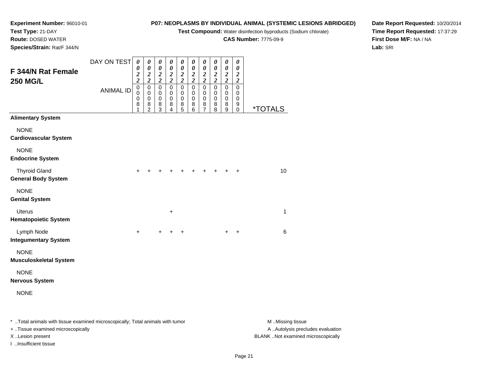**Test Compound:** Water disinfection byproducts (Sodium chlorate)

**CAS Number:** 7775-09-9

**Date Report Requested:** 10/20/2014**Time Report Requested:** 17:37:29**First Dose M/F:** NA / NA**Lab:** SRI

**Experiment Number:** 96010-01**Test Type:** 21-DAY **Route:** DOSED WATER**Species/Strain:** Rat/F 344/N

| F 344/N Rat Female<br>250 MG/L               | DAY ON TEST      | $\boldsymbol{\theta}$<br>0<br>$\boldsymbol{2}$<br>$\overline{\mathbf{c}}$ | $\pmb{\theta}$<br>$\pmb{\theta}$<br>$\frac{2}{2}$    | 0<br>0<br>$\frac{2}{2}$                            | 0<br>0<br>$\frac{2}{2}$                 | 0<br>0<br>$\frac{2}{2}$                                 | 0<br>0<br>$\frac{2}{2}$                    | 0<br>0<br>$\frac{2}{2}$                           | 0<br>0<br>$\frac{2}{2}$                    | $\pmb{\theta}$<br>$\boldsymbol{\theta}$<br>$\frac{2}{2}$ | 0<br>0<br>$\overline{\mathbf{c}}$<br>$\boldsymbol{2}$ |                       |  |
|----------------------------------------------|------------------|---------------------------------------------------------------------------|------------------------------------------------------|----------------------------------------------------|-----------------------------------------|---------------------------------------------------------|--------------------------------------------|---------------------------------------------------|--------------------------------------------|----------------------------------------------------------|-------------------------------------------------------|-----------------------|--|
|                                              | <b>ANIMAL ID</b> | $\mathbf 0$<br>0<br>$\,0\,$<br>8<br>1                                     | $\pmb{0}$<br>$\pmb{0}$<br>$\pmb{0}$<br>$\frac{8}{2}$ | $\mathbf 0$<br>0<br>$\,0\,$<br>8<br>$\overline{3}$ | $\mathsf 0$<br>0<br>$\pmb{0}$<br>$^8_4$ | $\overline{0}$<br>0<br>$\pmb{0}$<br>8<br>$\overline{5}$ | $\overline{0}$<br>0<br>$\pmb{0}$<br>$^8_6$ | $\overline{0}$<br>0<br>$\pmb{0}$<br>$\frac{8}{7}$ | $\overline{0}$<br>0<br>$\,0\,$<br>$_{8}^8$ | $\overline{0}$<br>0<br>$\pmb{0}$<br>8<br>$\overline{9}$  | $\overline{0}$<br>0<br>$\pmb{0}$<br>9<br>$\pmb{0}$    | <i><b>*TOTALS</b></i> |  |
| <b>Alimentary System</b>                     |                  |                                                                           |                                                      |                                                    |                                         |                                                         |                                            |                                                   |                                            |                                                          |                                                       |                       |  |
| <b>NONE</b><br>Cardiovascular System         |                  |                                                                           |                                                      |                                                    |                                         |                                                         |                                            |                                                   |                                            |                                                          |                                                       |                       |  |
| <b>NONE</b><br><b>Endocrine System</b>       |                  |                                                                           |                                                      |                                                    |                                         |                                                         |                                            |                                                   |                                            |                                                          |                                                       |                       |  |
| <b>Thyroid Gland</b><br>General Body System  |                  | $\ddot{}$                                                                 |                                                      |                                                    | +                                       |                                                         | ٠                                          | +                                                 |                                            | $\ddot{}$                                                | +                                                     | 10                    |  |
| <b>NONE</b><br><b>Genital System</b>         |                  |                                                                           |                                                      |                                                    |                                         |                                                         |                                            |                                                   |                                            |                                                          |                                                       |                       |  |
| <b>Uterus</b><br><b>Hematopoietic System</b> |                  |                                                                           |                                                      |                                                    | +                                       |                                                         |                                            |                                                   |                                            |                                                          |                                                       | 1                     |  |
| Lymph Node<br><b>Integumentary System</b>    |                  | $\ddot{}$                                                                 |                                                      | $\pm$                                              | ÷                                       | $\ddot{}$                                               |                                            |                                                   |                                            | +                                                        | +                                                     | 6                     |  |
| <b>NONE</b><br><b>Musculoskeletal System</b> |                  |                                                                           |                                                      |                                                    |                                         |                                                         |                                            |                                                   |                                            |                                                          |                                                       |                       |  |
| <b>NONE</b><br><b>Nervous System</b>         |                  |                                                                           |                                                      |                                                    |                                         |                                                         |                                            |                                                   |                                            |                                                          |                                                       |                       |  |
| <b>NONE</b>                                  |                  |                                                                           |                                                      |                                                    |                                         |                                                         |                                            |                                                   |                                            |                                                          |                                                       |                       |  |
|                                              |                  |                                                                           |                                                      |                                                    |                                         |                                                         |                                            |                                                   |                                            |                                                          |                                                       |                       |  |

\* ..Total animals with tissue examined microscopically; Total animals with tumor **M** . Missing tissue M ..Missing tissue A ..Autolysis precludes evaluation + ..Tissue examined microscopically X ..Lesion present BLANK ..Not examined microscopicallyI ..Insufficient tissue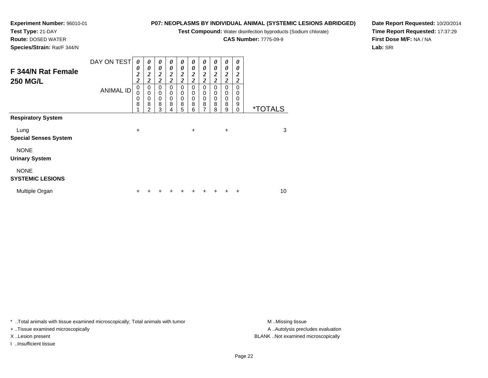**Test Compound:** Water disinfection byproducts (Sodium chlorate)

**CAS Number:** 7775-09-9

**Date Report Requested:** 10/20/2014**Time Report Requested:** 17:37:29**First Dose M/F:** NA / NA**Lab:** SRI

| F 344/N Rat Female<br><b>250 MG/L</b>  | DAY ON TEST<br><b>ANIMAL ID</b> | 0<br>0<br>$\frac{2}{2}$<br>$\mathbf 0$<br>0<br>0<br>8 | 0<br>0<br>$\frac{2}{2}$<br>0<br>0<br>0<br>8<br>2 | 0<br>0<br>$\frac{2}{2}$<br>0<br>$\pmb{0}$<br>$\frac{0}{8}$<br>3 | 0<br>0<br>$\boldsymbol{2}$<br>$\overline{2}$<br>0<br>0<br>0<br>8<br>4 | N<br>0<br>$\frac{2}{2}$<br>0<br>0<br>$\mathbf 0$<br>8<br>5 | 0<br>$\overline{\mathbf{c}}$<br>$\overline{2}$<br>0<br>0<br>$\mathbf 0$<br>8<br>6 | 0<br>0<br>$\boldsymbol{2}$<br>$\overline{c}$<br>0<br>0<br>$\pmb{0}$<br>8<br>7 | 0<br>0<br>$\boldsymbol{2}$<br>$\overline{2}$<br>0<br>0<br>$\mathbf 0$<br>8<br>8 | $\theta$<br>0<br>$\frac{2}{2}$<br>$\mathbf 0$<br>0<br>$\mathbf 0$<br>8<br>9 | 0<br>0<br>2<br>$\boldsymbol{2}$<br>0<br>0<br>0<br>9<br>0 | <i><b>*TOTALS</b></i> |
|----------------------------------------|---------------------------------|-------------------------------------------------------|--------------------------------------------------|-----------------------------------------------------------------|-----------------------------------------------------------------------|------------------------------------------------------------|-----------------------------------------------------------------------------------|-------------------------------------------------------------------------------|---------------------------------------------------------------------------------|-----------------------------------------------------------------------------|----------------------------------------------------------|-----------------------|
| <b>Respiratory System</b>              |                                 |                                                       |                                                  |                                                                 |                                                                       |                                                            |                                                                                   |                                                                               |                                                                                 |                                                                             |                                                          |                       |
| Lung<br><b>Special Senses System</b>   |                                 | $\ddot{}$                                             |                                                  |                                                                 |                                                                       |                                                            | $\ddot{}$                                                                         |                                                                               |                                                                                 | $\ddot{}$                                                                   |                                                          | 3                     |
| <b>NONE</b><br><b>Urinary System</b>   |                                 |                                                       |                                                  |                                                                 |                                                                       |                                                            |                                                                                   |                                                                               |                                                                                 |                                                                             |                                                          |                       |
| <b>NONE</b><br><b>SYSTEMIC LESIONS</b> |                                 |                                                       |                                                  |                                                                 |                                                                       |                                                            |                                                                                   |                                                                               |                                                                                 |                                                                             |                                                          |                       |
| Multiple Organ                         |                                 |                                                       |                                                  |                                                                 |                                                                       |                                                            |                                                                                   |                                                                               |                                                                                 |                                                                             |                                                          | 10                    |

\* ..Total animals with tissue examined microscopically; Total animals with tumor **M** . Missing tissue M ..Missing tissue

+ ..Tissue examined microscopically

**Experiment Number:** 96010-01

**Test Type:** 21-DAY **Route:** DOSED WATER**Species/Strain:** Rat/F 344/N

I ..Insufficient tissue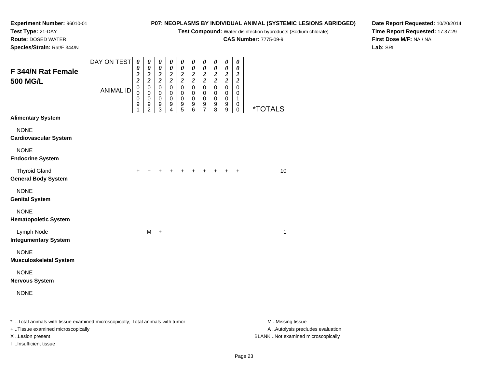**Test Compound:** Water disinfection byproducts (Sodium chlorate)

**CAS Number:** 7775-09-9

**Date Report Requested:** 10/20/2014**Time Report Requested:** 17:37:29**First Dose M/F:** NA / NA**Lab:** SRI

**Experiment Number:** 96010-01**Test Type:** 21-DAY **Route:** DOSED WATER**Species/Strain:** Rat/F 344/N

| F 344/N Rat Female<br><b>500 MG/L</b>                                          | DAY ON TEST      | 0<br>0<br>$\frac{2}{2}$                         | 0<br>$\pmb{\theta}$<br>$\boldsymbol{2}$<br>$\overline{2}$         | $\pmb{\theta}$<br>$\pmb{\theta}$<br>$\boldsymbol{2}$<br>$\boldsymbol{2}$ | 0<br>$\boldsymbol{\theta}$<br>$\boldsymbol{2}$<br>$\boldsymbol{2}$ | 0<br>0<br>$\frac{2}{2}$                           | $\pmb{\theta}$<br>$\pmb{\theta}$<br>$\boldsymbol{2}$<br>$\boldsymbol{2}$ | 0<br>$\boldsymbol{\theta}$<br>$\boldsymbol{2}$<br>$\boldsymbol{2}$ | 0<br>$\boldsymbol{\theta}$<br>$\frac{2}{2}$        | $\pmb{\theta}$<br>$\pmb{\theta}$<br>$\boldsymbol{2}$<br>$\boldsymbol{2}$ | $\pmb{\theta}$<br>$\pmb{\theta}$<br>$\frac{2}{2}$ |                       |
|--------------------------------------------------------------------------------|------------------|-------------------------------------------------|-------------------------------------------------------------------|--------------------------------------------------------------------------|--------------------------------------------------------------------|---------------------------------------------------|--------------------------------------------------------------------------|--------------------------------------------------------------------|----------------------------------------------------|--------------------------------------------------------------------------|---------------------------------------------------|-----------------------|
|                                                                                | <b>ANIMAL ID</b> | $\pmb{0}$<br>$\mathbf 0$<br>$\pmb{0}$<br>9<br>1 | $\pmb{0}$<br>0<br>$\pmb{0}$<br>$\boldsymbol{9}$<br>$\overline{2}$ | $\mathbf 0$<br>0<br>$\pmb{0}$<br>$\boldsymbol{9}$<br>$\overline{3}$      | $\pmb{0}$<br>0<br>0<br>9<br>4                                      | $\mathsf 0$<br>0<br>$\mathsf{O}\xspace$<br>9<br>5 | $\mathbf 0$<br>0<br>$\,0\,$<br>9<br>$\overline{6}$                       | $\pmb{0}$<br>0<br>$\,0\,$<br>9<br>7                                | $\pmb{0}$<br>0<br>$\pmb{0}$<br>9<br>$\overline{8}$ | $\pmb{0}$<br>0<br>0<br>9<br>9                                            | $\pmb{0}$<br>0<br>1<br>0<br>$\mathbf 0$           | <i><b>*TOTALS</b></i> |
| <b>Alimentary System</b>                                                       |                  |                                                 |                                                                   |                                                                          |                                                                    |                                                   |                                                                          |                                                                    |                                                    |                                                                          |                                                   |                       |
| <b>NONE</b><br><b>Cardiovascular System</b>                                    |                  |                                                 |                                                                   |                                                                          |                                                                    |                                                   |                                                                          |                                                                    |                                                    |                                                                          |                                                   |                       |
| <b>NONE</b><br><b>Endocrine System</b>                                         |                  |                                                 |                                                                   |                                                                          |                                                                    |                                                   |                                                                          |                                                                    |                                                    |                                                                          |                                                   |                       |
| <b>Thyroid Gland</b><br><b>General Body System</b>                             |                  | $\ddot{}$                                       |                                                                   |                                                                          | +                                                                  |                                                   |                                                                          |                                                                    |                                                    | +                                                                        | $\ddot{}$                                         | 10                    |
| <b>NONE</b><br><b>Genital System</b>                                           |                  |                                                 |                                                                   |                                                                          |                                                                    |                                                   |                                                                          |                                                                    |                                                    |                                                                          |                                                   |                       |
| <b>NONE</b><br><b>Hematopoietic System</b>                                     |                  |                                                 |                                                                   |                                                                          |                                                                    |                                                   |                                                                          |                                                                    |                                                    |                                                                          |                                                   |                       |
| Lymph Node<br><b>Integumentary System</b>                                      |                  |                                                 | M                                                                 | $+$                                                                      |                                                                    |                                                   |                                                                          |                                                                    |                                                    |                                                                          |                                                   | 1                     |
| <b>NONE</b><br><b>Musculoskeletal System</b>                                   |                  |                                                 |                                                                   |                                                                          |                                                                    |                                                   |                                                                          |                                                                    |                                                    |                                                                          |                                                   |                       |
| <b>NONE</b><br><b>Nervous System</b>                                           |                  |                                                 |                                                                   |                                                                          |                                                                    |                                                   |                                                                          |                                                                    |                                                    |                                                                          |                                                   |                       |
| <b>NONE</b>                                                                    |                  |                                                 |                                                                   |                                                                          |                                                                    |                                                   |                                                                          |                                                                    |                                                    |                                                                          |                                                   |                       |
| * Total animals with tissue examined microscopically; Total animals with tumor |                  |                                                 |                                                                   |                                                                          |                                                                    |                                                   |                                                                          |                                                                    |                                                    |                                                                          |                                                   | M Missing tissue      |

+ ..Tissue examined microscopically

I ..Insufficient tissue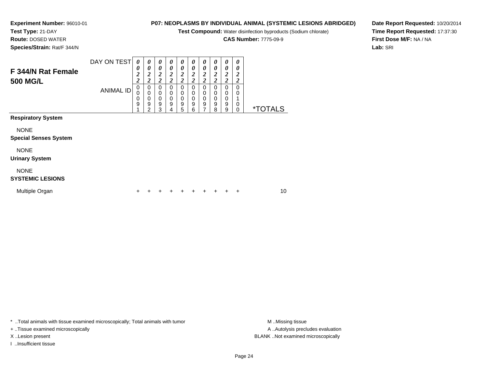# **Experiment Number:** 96010-01

**P07: NEOPLASMS BY INDIVIDUAL ANIMAL (SYSTEMIC LESIONS ABRIDGED)**

**Test Compound:** Water disinfection byproducts (Sodium chlorate)

**CAS Number:** 7775-09-9

**Date Report Requested:** 10/20/2014**Time Report Requested:** 17:37:30**First Dose M/F:** NA / NA**Lab:** SRI

**Test Type:** 21-DAY **Route:** DOSED WATER**Species/Strain:** Rat/F 344/N

| F 344/N Rat Female        | DAY ON TEST | 0<br>0<br>2<br>2 | $\boldsymbol{\theta}$<br>0<br>∍<br>∠<br>2 | $\boldsymbol{\theta}$<br>0<br>2<br>2 | $\theta$<br>0<br>2<br>2 | 0<br>0<br>2<br>$\overline{\mathbf{2}}$ | $\boldsymbol{\theta}$<br>0<br>2<br>2 | 0<br>0<br>2<br>$\overline{\mathbf{c}}$ | 0<br>0<br>2<br>2      | 0<br>0<br>∍<br>$\overline{2}$<br>2 | 0<br>0<br>∠<br>ኅ      |                       |
|---------------------------|-------------|------------------|-------------------------------------------|--------------------------------------|-------------------------|----------------------------------------|--------------------------------------|----------------------------------------|-----------------------|------------------------------------|-----------------------|-----------------------|
| <b>500 MG/L</b>           | ANIMAL ID   | 0<br>0<br>9      | 0<br>0<br>0<br>9<br>2                     | 0<br>0<br>0<br>9<br>3                | 0<br>0<br>0<br>9<br>4   | 0<br>0<br>0<br>9<br>5                  | 0<br>0<br>0<br>9<br>6                | 0<br>0<br>0<br>9<br>⇁                  | 0<br>0<br>0<br>9<br>8 | 0<br>0<br>0<br>9<br>9              | ∠<br>0<br>0<br>0<br>0 | <i><b>*TOTALS</b></i> |
| <b>Respiratory System</b> |             |                  |                                           |                                      |                         |                                        |                                      |                                        |                       |                                    |                       |                       |
| <b>NONE</b>               |             |                  |                                           |                                      |                         |                                        |                                      |                                        |                       |                                    |                       |                       |

#### **Special Senses System**

NONE

#### **Urinary System**

NONE

#### **SYSTEMIC LESIONS**

| Multiple Organ |  | + + + + + + + + + + |  |  |  | 10 |
|----------------|--|---------------------|--|--|--|----|
|                |  |                     |  |  |  |    |

\* ..Total animals with tissue examined microscopically; Total animals with tumor **M** ...Missing tissue M ...Missing tissue

+ ..Tissue examined microscopically

I ..Insufficient tissue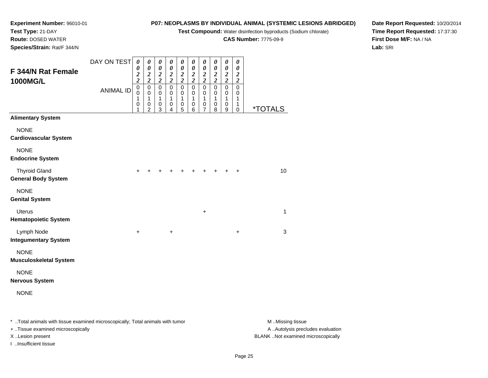**Test Compound:** Water disinfection byproducts (Sodium chlorate)

**CAS Number:** 7775-09-9

**Date Report Requested:** 10/20/2014**Time Report Requested:** 17:37:30**First Dose M/F:** NA / NA**Lab:** SRI

**Experiment Number:** 96010-01**Test Type:** 21-DAY **Route:** DOSED WATER**Species/Strain:** Rat/F 344/N

| F 344/N Rat Female                                 | DAY ON TEST      | $\boldsymbol{\theta}$<br>0<br>$\boldsymbol{c}$      | $\pmb{\theta}$<br>$\boldsymbol{\theta}$<br>$\frac{2}{2}$      | 0<br>$\pmb{\theta}$<br>$\frac{2}{2}$ | $\pmb{\theta}$<br>$\boldsymbol{\theta}$<br>$\frac{2}{2}$ | 0<br>$\pmb{\theta}$<br>$\frac{2}{2}$                | 0<br>$\pmb{\theta}$<br>$\frac{2}{2}$ | 0<br>$\pmb{\theta}$<br>$\frac{2}{2}$                  | $\pmb{\theta}$<br>$\boldsymbol{\theta}$<br>$\frac{2}{2}$ | 0<br>$\boldsymbol{\theta}$<br>$\frac{2}{2}$           | $\boldsymbol{\theta}$<br>$\boldsymbol{\theta}$<br>$\frac{2}{2}$ |                       |  |
|----------------------------------------------------|------------------|-----------------------------------------------------|---------------------------------------------------------------|--------------------------------------|----------------------------------------------------------|-----------------------------------------------------|--------------------------------------|-------------------------------------------------------|----------------------------------------------------------|-------------------------------------------------------|-----------------------------------------------------------------|-----------------------|--|
| 1000MG/L                                           | <b>ANIMAL ID</b> | $\overline{\mathbf{c}}$<br>$\pmb{0}$<br>0<br>1<br>0 | $\overline{0}$<br>$\,0\,$<br>1<br>$\pmb{0}$<br>$\overline{2}$ | $\overline{0}$<br>0<br>1<br>0<br>3   | $\overline{0}$<br>0<br>$\mathbf{1}$<br>$\pmb{0}$<br>4    | $\overline{0}$<br>$\,0\,$<br>$\mathbf{1}$<br>0<br>5 | $\overline{0}$<br>0<br>1<br>0<br>6   | $\overline{0}$<br>$\pmb{0}$<br>$\mathbf{1}$<br>0<br>7 | $\overline{0}$<br>$\pmb{0}$<br>$\mathbf{1}$<br>0<br>8    | $\overline{0}$<br>$\pmb{0}$<br>$\mathbf{1}$<br>0<br>9 | $\overline{0}$<br>$\boldsymbol{0}$<br>$\mathbf{1}$<br>1<br>0    | <i><b>*TOTALS</b></i> |  |
| <b>Alimentary System</b>                           |                  |                                                     |                                                               |                                      |                                                          |                                                     |                                      |                                                       |                                                          |                                                       |                                                                 |                       |  |
| <b>NONE</b><br><b>Cardiovascular System</b>        |                  |                                                     |                                                               |                                      |                                                          |                                                     |                                      |                                                       |                                                          |                                                       |                                                                 |                       |  |
| <b>NONE</b><br><b>Endocrine System</b>             |                  |                                                     |                                                               |                                      |                                                          |                                                     |                                      |                                                       |                                                          |                                                       |                                                                 |                       |  |
| <b>Thyroid Gland</b><br><b>General Body System</b> |                  | +                                                   |                                                               |                                      |                                                          |                                                     |                                      |                                                       |                                                          |                                                       | $\ddot{}$                                                       | 10                    |  |
| <b>NONE</b><br><b>Genital System</b>               |                  |                                                     |                                                               |                                      |                                                          |                                                     |                                      |                                                       |                                                          |                                                       |                                                                 |                       |  |
| <b>Uterus</b><br><b>Hematopoietic System</b>       |                  |                                                     |                                                               |                                      |                                                          |                                                     |                                      | $\ddot{}$                                             |                                                          |                                                       |                                                                 | 1                     |  |
| Lymph Node<br><b>Integumentary System</b>          |                  | $\ddot{}$                                           |                                                               |                                      | $\ddot{}$                                                |                                                     |                                      |                                                       |                                                          |                                                       | $\ddot{}$                                                       | 3                     |  |
| <b>NONE</b><br>Musculoskeletal System              |                  |                                                     |                                                               |                                      |                                                          |                                                     |                                      |                                                       |                                                          |                                                       |                                                                 |                       |  |
| <b>NONE</b><br>Nervous System                      |                  |                                                     |                                                               |                                      |                                                          |                                                     |                                      |                                                       |                                                          |                                                       |                                                                 |                       |  |
| <b>NONE</b>                                        |                  |                                                     |                                                               |                                      |                                                          |                                                     |                                      |                                                       |                                                          |                                                       |                                                                 |                       |  |
|                                                    |                  |                                                     |                                                               |                                      |                                                          |                                                     |                                      |                                                       |                                                          |                                                       |                                                                 |                       |  |

\* ..Total animals with tissue examined microscopically; Total animals with tumor **M** . Missing tissue M ..Missing tissue A ..Autolysis precludes evaluation + ..Tissue examined microscopically X ..Lesion present BLANK ..Not examined microscopicallyI ..Insufficient tissue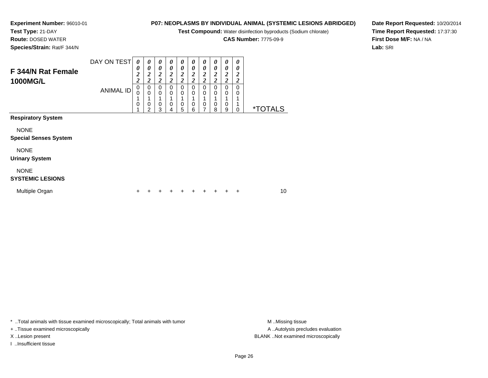## **Experiment Number:** 96010-01

**Test Type:** 21-DAY

 **Route:** DOSED WATER**Species/Strain:** Rat/F 344/N **P07: NEOPLASMS BY INDIVIDUAL ANIMAL (SYSTEMIC LESIONS ABRIDGED)**

**Test Compound:** Water disinfection byproducts (Sodium chlorate)

**CAS Number:** 7775-09-9

**Date Report Requested:** 10/20/2014**Time Report Requested:** 17:37:30**First Dose M/F:** NA / NA**Lab:** SRI

| F 344/N Rat Female<br><b>1000MG/L</b>  | DAY ON TEST      | 0<br>0<br>$\overline{2}$<br>2 | $\boldsymbol{\theta}$<br>0<br>$\overline{2}$<br>$\overline{2}$ | 0<br>0<br>$\boldsymbol{2}$<br>2 | $\boldsymbol{\theta}$<br>0<br>$\boldsymbol{2}$<br>2 | $\boldsymbol{\theta}$<br>$\boldsymbol{\theta}$<br>$\boldsymbol{2}$<br>2 | 0<br>0<br>$\boldsymbol{2}$<br>$\boldsymbol{2}$ | 0<br>0<br>2<br>2 | 0<br>0<br>$\boldsymbol{2}$<br>2 | 0<br>0<br>2<br>2 | 0<br>0<br>$\overline{2}$<br>2 |                       |
|----------------------------------------|------------------|-------------------------------|----------------------------------------------------------------|---------------------------------|-----------------------------------------------------|-------------------------------------------------------------------------|------------------------------------------------|------------------|---------------------------------|------------------|-------------------------------|-----------------------|
|                                        | <b>ANIMAL ID</b> | 0<br>$\mathbf 0$<br>0         | 0<br>$\mathbf 0$<br>$\mathbf 0$<br>2                           | 0<br>0<br>0<br>3                | 0<br>$\mathbf 0$<br>$\mathbf 0$<br>4                | 0<br>0<br>$\mathbf 0$<br>5                                              | 0<br>0<br>0<br>6                               | 0<br>0<br>0<br>⇁ | 0<br>0<br>0<br>8                | 0<br>0<br>0<br>9 | 0<br>0<br>0                   | <i><b>*TOTALS</b></i> |
| <b>Respiratory System</b>              |                  |                               |                                                                |                                 |                                                     |                                                                         |                                                |                  |                                 |                  |                               |                       |
| <b>NONE</b>                            |                  |                               |                                                                |                                 |                                                     |                                                                         |                                                |                  |                                 |                  |                               |                       |
| <b>Special Senses System</b>           |                  |                               |                                                                |                                 |                                                     |                                                                         |                                                |                  |                                 |                  |                               |                       |
| <b>NONE</b>                            |                  |                               |                                                                |                                 |                                                     |                                                                         |                                                |                  |                                 |                  |                               |                       |
| <b>Urinary System</b>                  |                  |                               |                                                                |                                 |                                                     |                                                                         |                                                |                  |                                 |                  |                               |                       |
| <b>NONE</b><br><b>SYSTEMIC LESIONS</b> |                  |                               |                                                                |                                 |                                                     |                                                                         |                                                |                  |                                 |                  |                               |                       |

| Multiple Organ |  |  |  | + + + + + + + + + + |  |  |  |  |  |  |  | 10 |
|----------------|--|--|--|---------------------|--|--|--|--|--|--|--|----|
|----------------|--|--|--|---------------------|--|--|--|--|--|--|--|----|

\* ..Total animals with tissue examined microscopically; Total animals with tumor **M** . Missing tissue M ..Missing tissue

+ ..Tissue examined microscopically

I ..Insufficient tissue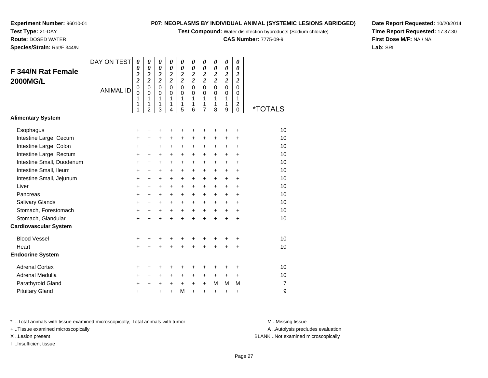**Test Compound:** Water disinfection byproducts (Sodium chlorate)

**CAS Number:** 7775-09-9

**Date Report Requested:** 10/20/2014**Time Report Requested:** 17:37:30**First Dose M/F:** NA / NA**Lab:** SRI

**Experiment Number:** 96010-01**Test Type:** 21-DAY **Route:** DOSED WATER**Species/Strain:** Rat/F 344/N

| F 344/N Rat Female<br><b>2000MG/L</b> | DAY ON TEST<br><b>ANIMAL ID</b> | $\boldsymbol{\theta}$<br>0<br>$\overline{\mathbf{c}}$<br>$\overline{c}$<br>$\pmb{0}$<br>$\Omega$<br>1<br>1 | 0<br>0<br>$\boldsymbol{2}$<br>$\overline{2}$<br>$\mathbf 0$<br>$\Omega$<br>$\mathbf{1}$<br>1 | 0<br>0<br>$\overline{\mathbf{c}}$<br>$\overline{2}$<br>$\mathbf 0$<br>$\Omega$<br>1<br>1 | 0<br>$\boldsymbol{\theta}$<br>$\overline{\mathbf{c}}$<br>$\overline{2}$<br>0<br>$\Omega$<br>1<br>1 | 0<br>$\boldsymbol{\theta}$<br>$\overline{\mathbf{c}}$<br>$\overline{c}$<br>$\mathbf 0$<br>0<br>1<br>1 | 0<br>$\boldsymbol{\theta}$<br>$\overline{\mathbf{c}}$<br>$\overline{2}$<br>$\mathbf 0$<br>$\Omega$<br>$\mathbf{1}$<br>1 | 0<br>0<br>$\overline{c}$<br>$\overline{2}$<br>$\mathbf 0$<br>$\Omega$<br>$\mathbf{1}$<br>1 | $\boldsymbol{\theta}$<br>$\boldsymbol{\theta}$<br>$\overline{2}$<br>$\overline{2}$<br>$\mathbf 0$<br>$\Omega$<br>$\mathbf{1}$<br>1 | 0<br>0<br>$\overline{\mathbf{c}}$<br>$\overline{2}$<br>$\Omega$<br>$\Omega$<br>$\mathbf{1}$<br>1 | 0<br>0<br>$\overline{\mathbf{c}}$<br>$\overline{2}$<br>0<br>$\Omega$<br>$\mathbf{1}$<br>$\overline{\mathbf{c}}$ |                       |
|---------------------------------------|---------------------------------|------------------------------------------------------------------------------------------------------------|----------------------------------------------------------------------------------------------|------------------------------------------------------------------------------------------|----------------------------------------------------------------------------------------------------|-------------------------------------------------------------------------------------------------------|-------------------------------------------------------------------------------------------------------------------------|--------------------------------------------------------------------------------------------|------------------------------------------------------------------------------------------------------------------------------------|--------------------------------------------------------------------------------------------------|-----------------------------------------------------------------------------------------------------------------|-----------------------|
| <b>Alimentary System</b>              |                                 | 1                                                                                                          | $\overline{2}$                                                                               | 3                                                                                        | 4                                                                                                  | 5                                                                                                     | 6                                                                                                                       | 7                                                                                          | 8                                                                                                                                  | 9                                                                                                | $\mathbf 0$                                                                                                     | <i><b>*TOTALS</b></i> |
|                                       |                                 |                                                                                                            |                                                                                              |                                                                                          |                                                                                                    |                                                                                                       |                                                                                                                         |                                                                                            |                                                                                                                                    |                                                                                                  |                                                                                                                 |                       |
| Esophagus                             |                                 | +                                                                                                          | +                                                                                            | ٠                                                                                        | +                                                                                                  | +                                                                                                     | +                                                                                                                       | ٠                                                                                          | +                                                                                                                                  | +                                                                                                | $\ddot{}$                                                                                                       | 10                    |
| Intestine Large, Cecum                |                                 | $\ddot{}$                                                                                                  | $\ddot{}$                                                                                    | +                                                                                        | $\ddot{}$                                                                                          | $\ddot{}$                                                                                             | $\ddot{}$                                                                                                               | $\ddot{}$                                                                                  | $\ddot{}$                                                                                                                          | $\ddot{}$                                                                                        | +                                                                                                               | 10                    |
| Intestine Large, Colon                |                                 | $\ddot{}$                                                                                                  | +                                                                                            | +                                                                                        | +                                                                                                  | +                                                                                                     | $\ddot{}$                                                                                                               | +                                                                                          | +                                                                                                                                  | +                                                                                                | $\ddot{}$                                                                                                       | 10                    |
| Intestine Large, Rectum               |                                 | $\ddot{}$                                                                                                  | $\ddot{}$                                                                                    | $\ddot{}$                                                                                | $\ddot{}$                                                                                          | $\ddot{}$                                                                                             | $\ddot{}$                                                                                                               | $\ddot{}$                                                                                  | $\ddot{}$                                                                                                                          | $\ddot{}$                                                                                        | $\ddot{}$                                                                                                       | 10                    |
| Intestine Small, Duodenum             |                                 | $\ddot{}$                                                                                                  | $+$                                                                                          | $\ddot{}$                                                                                | $\ddot{}$                                                                                          | $\ddot{}$                                                                                             | $\ddot{}$                                                                                                               | $\ddot{}$                                                                                  | $\ddot{}$                                                                                                                          | $\ddot{}$                                                                                        | $\ddot{}$                                                                                                       | 10                    |
| Intestine Small, Ileum                |                                 | $\ddot{}$                                                                                                  | $\ddot{}$                                                                                    | +                                                                                        | $\ddot{}$                                                                                          | +                                                                                                     | $\ddot{}$                                                                                                               | $\ddot{}$                                                                                  | $\ddot{}$                                                                                                                          | $\ddot{}$                                                                                        | $\ddot{}$                                                                                                       | 10                    |
| Intestine Small, Jejunum              |                                 | $\ddot{}$                                                                                                  | $\ddot{}$                                                                                    | +                                                                                        | $\ddot{}$                                                                                          | +                                                                                                     | $\ddot{}$                                                                                                               | $\ddot{}$                                                                                  | $\ddot{}$                                                                                                                          | +                                                                                                | $\ddot{}$                                                                                                       | 10                    |
| Liver                                 |                                 | $\ddot{}$                                                                                                  | $\ddot{}$                                                                                    | $+$                                                                                      | $\ddot{}$                                                                                          | $\ddot{}$                                                                                             | $+$                                                                                                                     | $\ddot{}$                                                                                  | $\ddot{}$                                                                                                                          | $\ddot{}$                                                                                        | $\ddot{}$                                                                                                       | 10                    |
| Pancreas                              |                                 | $\ddot{}$                                                                                                  | $\ddot{}$                                                                                    | $+$                                                                                      | $\ddot{}$                                                                                          | $\ddot{}$                                                                                             | $\ddot{}$                                                                                                               | $\ddot{}$                                                                                  | $\ddot{}$                                                                                                                          | $\ddot{}$                                                                                        | $\ddot{}$                                                                                                       | 10                    |
| Salivary Glands                       |                                 | $\ddot{}$                                                                                                  | $\ddot{}$                                                                                    | $\ddot{}$                                                                                | $\ddot{}$                                                                                          | +                                                                                                     | $\ddot{}$                                                                                                               | +                                                                                          | $\ddot{}$                                                                                                                          | +                                                                                                | +                                                                                                               | 10                    |
| Stomach, Forestomach                  |                                 | $\ddot{}$                                                                                                  | +                                                                                            | +                                                                                        | +                                                                                                  | $\ddot{}$                                                                                             | $\ddot{}$                                                                                                               | $\ddot{}$                                                                                  | $\ddot{}$                                                                                                                          | +                                                                                                | +                                                                                                               | 10                    |
| Stomach, Glandular                    |                                 | $\ddot{}$                                                                                                  | $\ddot{}$                                                                                    | $\ddot{}$                                                                                | $\ddot{}$                                                                                          | ÷                                                                                                     | ÷                                                                                                                       | ÷                                                                                          | $\ddot{}$                                                                                                                          | $\ddot{}$                                                                                        | $\ddot{}$                                                                                                       | 10                    |
| <b>Cardiovascular System</b>          |                                 |                                                                                                            |                                                                                              |                                                                                          |                                                                                                    |                                                                                                       |                                                                                                                         |                                                                                            |                                                                                                                                    |                                                                                                  |                                                                                                                 |                       |
| <b>Blood Vessel</b>                   |                                 | +                                                                                                          | +                                                                                            | +                                                                                        | +                                                                                                  | +                                                                                                     | +                                                                                                                       | +                                                                                          | +                                                                                                                                  | +                                                                                                | +                                                                                                               | 10                    |
| Heart                                 |                                 | $\ddot{}$                                                                                                  |                                                                                              | $\ddot{}$                                                                                | $\ddot{}$                                                                                          | $\ddot{}$                                                                                             | ÷                                                                                                                       | $\ddot{}$                                                                                  | $\ddot{}$                                                                                                                          | $\ddot{}$                                                                                        | +                                                                                                               | 10                    |
| <b>Endocrine System</b>               |                                 |                                                                                                            |                                                                                              |                                                                                          |                                                                                                    |                                                                                                       |                                                                                                                         |                                                                                            |                                                                                                                                    |                                                                                                  |                                                                                                                 |                       |
| <b>Adrenal Cortex</b>                 |                                 | +                                                                                                          | +                                                                                            | ٠                                                                                        | +                                                                                                  | +                                                                                                     | +                                                                                                                       | +                                                                                          | +                                                                                                                                  | +                                                                                                | +                                                                                                               | 10                    |
| Adrenal Medulla                       |                                 | +                                                                                                          | $\ddot{}$                                                                                    | $\ddot{}$                                                                                | +                                                                                                  | +                                                                                                     | +                                                                                                                       | +                                                                                          | +                                                                                                                                  | $\ddot{}$                                                                                        | $\ddot{}$                                                                                                       | 10                    |
| Parathyroid Gland                     |                                 | +                                                                                                          | +                                                                                            | +                                                                                        | +                                                                                                  | +                                                                                                     | $\ddot{}$                                                                                                               | $\ddot{}$                                                                                  | M                                                                                                                                  | M                                                                                                | M                                                                                                               | 7                     |
| <b>Pituitary Gland</b>                |                                 | +                                                                                                          | +                                                                                            | +                                                                                        | +                                                                                                  | M                                                                                                     | $\ddot{}$                                                                                                               | +                                                                                          | +                                                                                                                                  | +                                                                                                | +                                                                                                               | 9                     |

\* ..Total animals with tissue examined microscopically; Total animals with tumor **M** . Missing tissue M ..Missing tissue

+ ..Tissue examined microscopically

I ..Insufficient tissue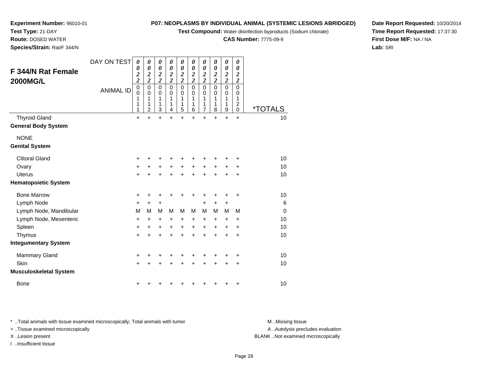**Test Compound:** Water disinfection byproducts (Sodium chlorate)

**CAS Number:** 7775-09-9

**Date Report Requested:** 10/20/2014**Time Report Requested:** 17:37:30**First Dose M/F:** NA / NA**Lab:** SRI

| <b>F 344/N Rat Female</b><br>2000MG/L | DAY ON TEST<br><b>ANIMAL ID</b> | $\boldsymbol{\theta}$<br>0<br>$\frac{2}{2}$<br>0<br>$\mathbf 0$<br>1<br>1<br>1 | $\boldsymbol{\theta}$<br>$\boldsymbol{\theta}$<br>$\frac{2}{2}$<br>$\mathbf 0$<br>$\mathbf 0$<br>1<br>1<br>$\overline{2}$ | $\boldsymbol{\theta}$<br>$\pmb{\theta}$<br>$\frac{2}{2}$<br>$\pmb{0}$<br>$\pmb{0}$<br>1<br>1<br>$\mathbf{3}$ | $\boldsymbol{\theta}$<br>$\pmb{\theta}$<br>$\frac{2}{2}$<br>$\mathbf 0$<br>0<br>1<br>1<br>4 | 0<br>$\pmb{\theta}$<br>$\frac{2}{2}$<br>$\mathbf 0$<br>$\mathbf 0$<br>1<br>1<br>5 | 0<br>$\boldsymbol{\theta}$<br>$\frac{2}{2}$<br>$\mathbf 0$<br>0<br>1<br>1<br>6 | 0<br>$\boldsymbol{\theta}$<br>$\frac{2}{2}$<br>$\mathbf 0$<br>0<br>1<br>1<br>$\overline{7}$ | 0<br>$\boldsymbol{\theta}$<br>$\frac{2}{2}$<br>$\mathbf 0$<br>0<br>1<br>1<br>8 | 0<br>$\pmb{\theta}$<br>$\frac{2}{2}$<br>$\mathsf 0$<br>0<br>1<br>1<br>9 | $\boldsymbol{\theta}$<br>0<br>$\boldsymbol{2}$<br>$\overline{c}$<br>0<br>$\Omega$<br>1<br>$\boldsymbol{2}$<br>$\mathbf 0$ | <i><b>*TOTALS</b></i> |
|---------------------------------------|---------------------------------|--------------------------------------------------------------------------------|---------------------------------------------------------------------------------------------------------------------------|--------------------------------------------------------------------------------------------------------------|---------------------------------------------------------------------------------------------|-----------------------------------------------------------------------------------|--------------------------------------------------------------------------------|---------------------------------------------------------------------------------------------|--------------------------------------------------------------------------------|-------------------------------------------------------------------------|---------------------------------------------------------------------------------------------------------------------------|-----------------------|
| <b>Thyroid Gland</b>                  |                                 | $\ddot{}$                                                                      | $\ddot{}$                                                                                                                 | $\ddot{}$                                                                                                    | $\ddot{}$                                                                                   | $\ddot{}$                                                                         | $\ddot{}$                                                                      | $\ddot{}$                                                                                   | $\ddot{}$                                                                      | $\ddot{}$                                                               | $\ddot{}$                                                                                                                 | 10                    |
| <b>General Body System</b>            |                                 |                                                                                |                                                                                                                           |                                                                                                              |                                                                                             |                                                                                   |                                                                                |                                                                                             |                                                                                |                                                                         |                                                                                                                           |                       |
| <b>NONE</b>                           |                                 |                                                                                |                                                                                                                           |                                                                                                              |                                                                                             |                                                                                   |                                                                                |                                                                                             |                                                                                |                                                                         |                                                                                                                           |                       |
| <b>Genital System</b>                 |                                 |                                                                                |                                                                                                                           |                                                                                                              |                                                                                             |                                                                                   |                                                                                |                                                                                             |                                                                                |                                                                         |                                                                                                                           |                       |
| <b>Clitoral Gland</b>                 |                                 | +                                                                              | +                                                                                                                         |                                                                                                              |                                                                                             | ٠                                                                                 | +                                                                              | +                                                                                           |                                                                                | +                                                                       | +                                                                                                                         | 10                    |
| Ovary                                 |                                 | +                                                                              |                                                                                                                           | +                                                                                                            | +                                                                                           | $\ddot{}$                                                                         | $\ddot{}$                                                                      | +                                                                                           | $\ddot{}$                                                                      | +                                                                       | +                                                                                                                         | 10                    |
| <b>Uterus</b>                         |                                 | $\ddot{}$                                                                      |                                                                                                                           |                                                                                                              |                                                                                             | $\ddot{}$                                                                         | $\ddot{}$                                                                      | $\ddot{}$                                                                                   | $\ddot{}$                                                                      | +                                                                       | +                                                                                                                         | 10                    |
| <b>Hematopoietic System</b>           |                                 |                                                                                |                                                                                                                           |                                                                                                              |                                                                                             |                                                                                   |                                                                                |                                                                                             |                                                                                |                                                                         |                                                                                                                           |                       |
| <b>Bone Marrow</b>                    |                                 | +                                                                              | +                                                                                                                         | +                                                                                                            | +                                                                                           | +                                                                                 | +                                                                              | +                                                                                           | +                                                                              | +                                                                       | +                                                                                                                         | 10                    |
| Lymph Node                            |                                 | $\ddot{}$                                                                      | $\ddot{}$                                                                                                                 | $\ddot{}$                                                                                                    |                                                                                             |                                                                                   |                                                                                | +                                                                                           | $\pm$                                                                          | $\ddot{}$                                                               |                                                                                                                           | 6                     |
| Lymph Node, Mandibular                |                                 | M                                                                              | М                                                                                                                         | M                                                                                                            | М                                                                                           | М                                                                                 | М                                                                              | М                                                                                           | M                                                                              | M                                                                       | M                                                                                                                         | $\Omega$              |
| Lymph Node, Mesenteric                |                                 | +                                                                              | +                                                                                                                         | $\ddot{}$                                                                                                    | $\ddot{}$                                                                                   | $\ddot{}$                                                                         | +                                                                              | +                                                                                           | +                                                                              | +                                                                       | +                                                                                                                         | 10                    |
| Spleen                                |                                 | +                                                                              | +                                                                                                                         | +                                                                                                            | +                                                                                           | +                                                                                 | +                                                                              | +                                                                                           | $\ddot{}$                                                                      | $\pm$                                                                   | $\ddot{}$                                                                                                                 | 10                    |
| Thymus                                |                                 | $\ddot{}$                                                                      | $\ddot{}$                                                                                                                 | $\ddot{}$                                                                                                    | $\ddot{}$                                                                                   | $\ddot{}$                                                                         | $\ddot{}$                                                                      | $\ddot{}$                                                                                   | $\ddot{}$                                                                      | $\ddot{}$                                                               | $\ddot{}$                                                                                                                 | 10                    |
| <b>Integumentary System</b>           |                                 |                                                                                |                                                                                                                           |                                                                                                              |                                                                                             |                                                                                   |                                                                                |                                                                                             |                                                                                |                                                                         |                                                                                                                           |                       |
| <b>Mammary Gland</b>                  |                                 | +                                                                              | +                                                                                                                         | +                                                                                                            | +                                                                                           | +                                                                                 | +                                                                              | +                                                                                           |                                                                                | +                                                                       | +                                                                                                                         | 10 <sup>1</sup>       |
| Skin                                  |                                 | $+$                                                                            | $\ddot{}$                                                                                                                 | $\ddot{}$                                                                                                    | $\ddot{}$                                                                                   | $\ddot{}$                                                                         | $\ddot{}$                                                                      | $\ddot{}$                                                                                   | $\ddot{}$                                                                      | $\ddot{}$                                                               | +                                                                                                                         | 10                    |
| <b>Musculoskeletal System</b>         |                                 |                                                                                |                                                                                                                           |                                                                                                              |                                                                                             |                                                                                   |                                                                                |                                                                                             |                                                                                |                                                                         |                                                                                                                           |                       |
| <b>Bone</b>                           |                                 | +                                                                              |                                                                                                                           |                                                                                                              |                                                                                             | ٠                                                                                 | +                                                                              | +                                                                                           | +                                                                              | +                                                                       | +                                                                                                                         | 10                    |

\* ..Total animals with tissue examined microscopically; Total animals with tumor **M** . Missing tissue M ..Missing tissue

+ ..Tissue examined microscopically

I ..Insufficient tissue